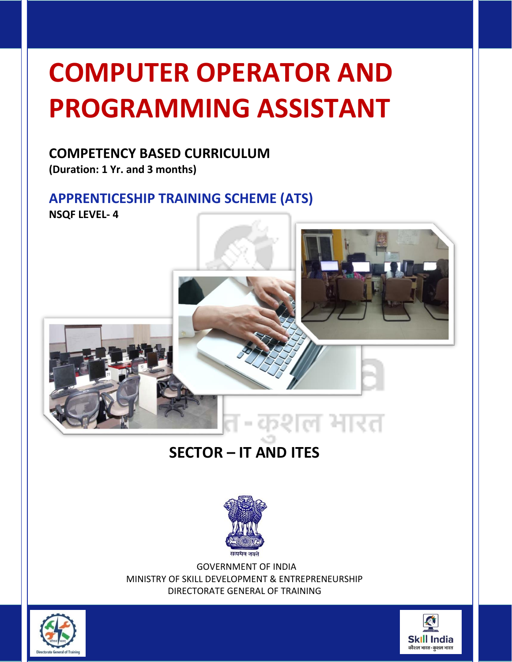# **COMPUTER OPERATOR AND PROGRAMMING ASSISTANT**

# **COMPETENCY BASED CURRICULUM**

**(Duration: 1 Yr. and 3 months)**

# **APPRENTICESHIP TRAINING SCHEME (ATS) NSQF LEVEL- 4**



# **SECTOR – IT AND ITES**



GOVERNMENT OF INDIA MINISTRY OF SKILL DEVELOPMENT & ENTREPRENEURSHIP DIRECTORATE GENERAL OF TRAINING



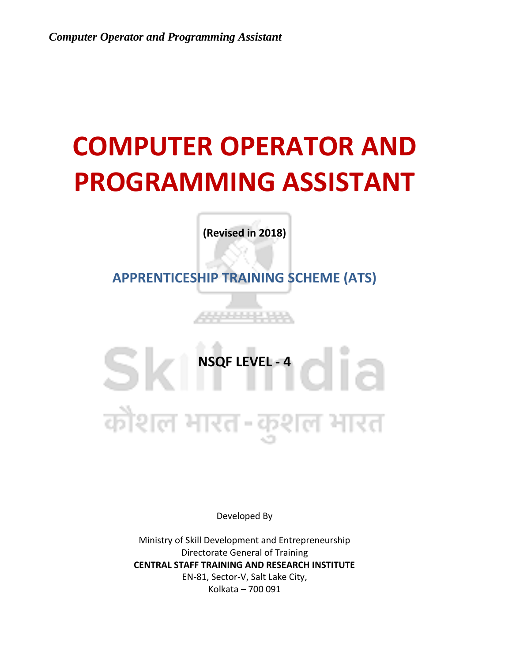# **COMPUTER OPERATOR AND PROGRAMMING ASSISTANT**

**(Revised in 2018)**

**APPRENTICESHIP TRAINING SCHEME (ATS)**

**NSQF LEVEL -4** कौशल भारत-कुशल भारत

Developed By

Ministry of Skill Development and Entrepreneurship Directorate General of Training **CENTRAL STAFF TRAINING AND RESEARCH INSTITUTE** EN-81, Sector-V, Salt Lake City, Kolkata – 700 091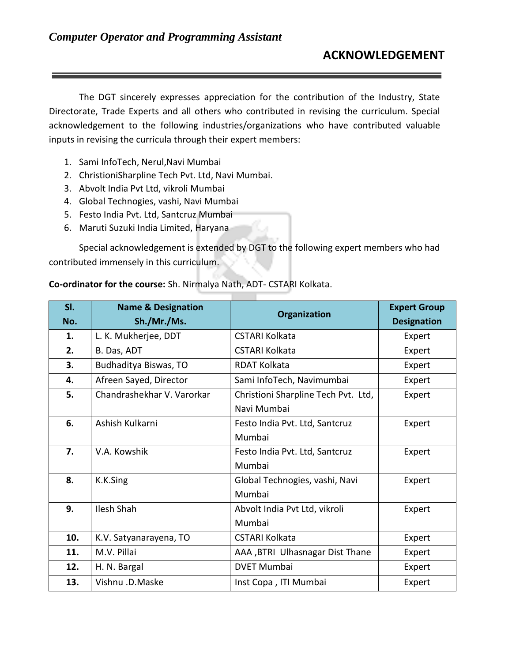The DGT sincerely expresses appreciation for the contribution of the Industry, State Directorate, Trade Experts and all others who contributed in revising the curriculum. Special acknowledgement to the following industries/organizations who have contributed valuable inputs in revising the curricula through their expert members:

- 1. Sami InfoTech, Nerul,Navi Mumbai
- 2. ChristioniSharpline Tech Pvt. Ltd, Navi Mumbai.
- 3. Abvolt India Pvt Ltd, vikroli Mumbai
- 4. Global Technogies, vashi, Navi Mumbai
- 5. Festo India Pvt. Ltd, Santcruz Mumbai
- 6. Maruti Suzuki India Limited, Haryana

Special acknowledgement is extended by DGT to the following expert members who had contributed immensely in this curriculum.

#### **Co-ordinator for the course:** Sh. Nirmalya Nath, ADT- CSTARI Kolkata.

| SI. | <b>Name &amp; Designation</b> | Organization                        | <b>Expert Group</b> |
|-----|-------------------------------|-------------------------------------|---------------------|
| No. | Sh./Mr./Ms.                   |                                     | <b>Designation</b>  |
| 1.  | L. K. Mukherjee, DDT          | <b>CSTARI Kolkata</b>               | Expert              |
| 2.  | B. Das, ADT                   | <b>CSTARI Kolkata</b>               | Expert              |
| 3.  | Budhaditya Biswas, TO         | <b>RDAT Kolkata</b>                 | Expert              |
| 4.  | Afreen Sayed, Director        | Sami InfoTech, Navimumbai           | Expert              |
| 5.  | Chandrashekhar V. Varorkar    | Christioni Sharpline Tech Pvt. Ltd, | Expert              |
|     |                               | Navi Mumbai                         |                     |
| 6.  | Ashish Kulkarni               | Festo India Pvt. Ltd, Santcruz      | Expert              |
|     |                               | Mumbai                              |                     |
| 7.  | V.A. Kowshik                  | Festo India Pvt. Ltd, Santcruz      | Expert              |
|     |                               | Mumbai                              |                     |
| 8.  | K.K.Sing                      | Global Technogies, vashi, Navi      | Expert              |
|     |                               | Mumbai                              |                     |
| 9.  | Ilesh Shah                    | Abvolt India Pvt Ltd, vikroli       | Expert              |
|     |                               | Mumbai                              |                     |
| 10. | K.V. Satyanarayena, TO        | <b>CSTARI Kolkata</b>               | Expert              |
| 11. | M.V. Pillai                   | AAA , BTRI Ulhasnagar Dist Thane    | Expert              |
| 12. | H. N. Bargal                  | <b>DVET Mumbai</b>                  | Expert              |
| 13. | Vishnu .D.Maske               | Inst Copa, ITI Mumbai               | Expert              |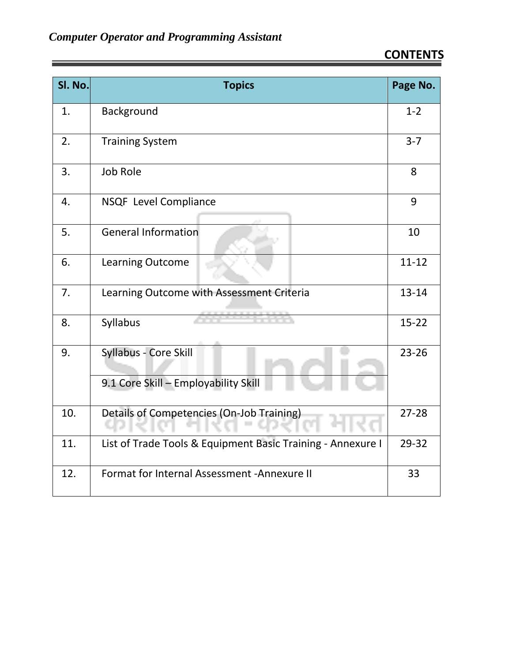| Sl. No. | <b>Topics</b>                                                 | Page No.  |
|---------|---------------------------------------------------------------|-----------|
| 1.      | Background                                                    | $1 - 2$   |
| 2.      | <b>Training System</b>                                        | $3 - 7$   |
| 3.      | <b>Job Role</b>                                               | 8         |
| 4.      | NSQF Level Compliance                                         | 9         |
| 5.      | <b>General Information</b>                                    | 10        |
| 6.      | Learning Outcome                                              | $11 - 12$ |
| 7.      | Learning Outcome with Assessment Criteria                     | $13 - 14$ |
| 8.      | Syllabus                                                      | $15 - 22$ |
| 9.      | Syllabus - Core Skill<br>9.1 Core Skill - Employability Skill | $23 - 26$ |
| 10.     | Details of Competencies (On-Job Training)                     | $27 - 28$ |
| 11.     | List of Trade Tools & Equipment Basic Training - Annexure I   | 29-32     |
| 12.     | Format for Internal Assessment - Annexure II                  | 33        |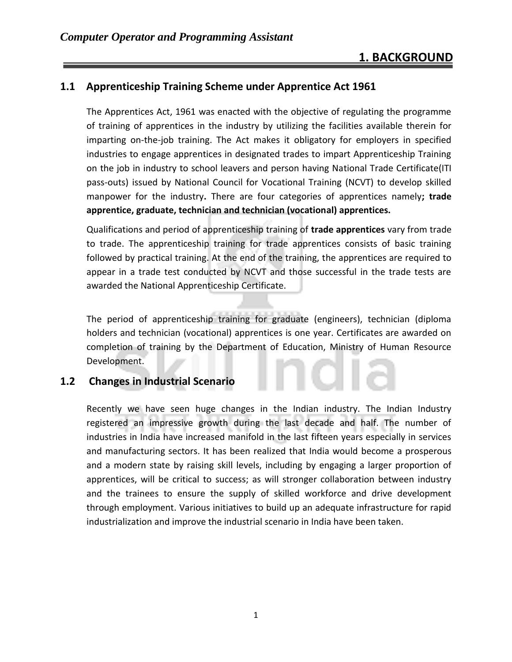## **1. BACKGROUND**

#### **1.1 Apprenticeship Training Scheme under Apprentice Act 1961**

The Apprentices Act, 1961 was enacted with the objective of regulating the programme of training of apprentices in the industry by utilizing the facilities available therein for imparting on-the-job training. The Act makes it obligatory for employers in specified industries to engage apprentices in designated trades to impart Apprenticeship Training on the job in industry to school leavers and person having National Trade Certificate(ITI pass-outs) issued by National Council for Vocational Training (NCVT) to develop skilled manpower for the industry**.** There are four categories of apprentices namely**; trade apprentice, graduate, technician and technician (vocational) apprentices.** 

Qualifications and period of apprenticeship training of **trade apprentices** vary from trade to trade. The apprenticeship training for trade apprentices consists of basic training followed by practical training. At the end of the training, the apprentices are required to appear in a trade test conducted by NCVT and those successful in the trade tests are awarded the National Apprenticeship Certificate.

The period of apprenticeship training for graduate (engineers), technician (diploma holders and technician (vocational) apprentices is one year. Certificates are awarded on completion of training by the Department of Education, Ministry of Human Resource Development.

#### **1.2 Changes in Industrial Scenario**

Recently we have seen huge changes in the Indian industry. The Indian Industry registered an impressive growth during the last decade and half. The number of industries in India have increased manifold in the last fifteen years especially in services and manufacturing sectors. It has been realized that India would become a prosperous and a modern state by raising skill levels, including by engaging a larger proportion of apprentices, will be critical to success; as will stronger collaboration between industry and the trainees to ensure the supply of skilled workforce and drive development through employment. Various initiatives to build up an adequate infrastructure for rapid industrialization and improve the industrial scenario in India have been taken.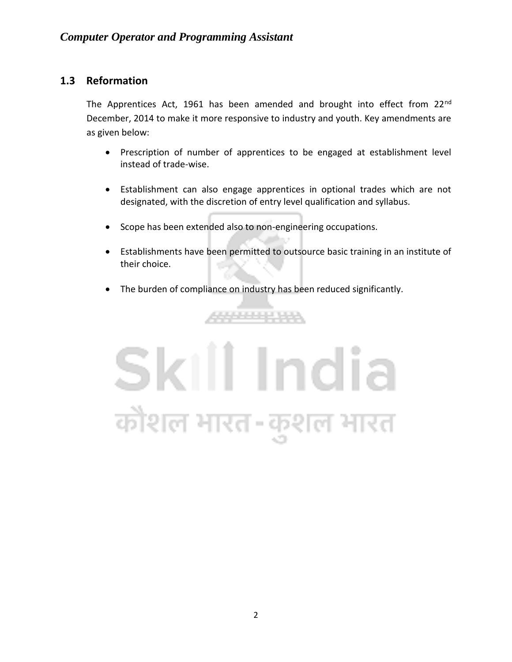#### **1.3 Reformation**

The Apprentices Act, 1961 has been amended and brought into effect from 22<sup>nd</sup> December, 2014 to make it more responsive to industry and youth. Key amendments are as given below:

- Prescription of number of apprentices to be engaged at establishment level instead of trade-wise.
- Establishment can also engage apprentices in optional trades which are not designated, with the discretion of entry level qualification and syllabus.
- Scope has been extended also to non-engineering occupations.
- Establishments have been permitted to outsource basic training in an institute of their choice.
- The burden of compliance on industry has been reduced significantly.

222223233

# Skill India कौशल भारत-कुशल भारत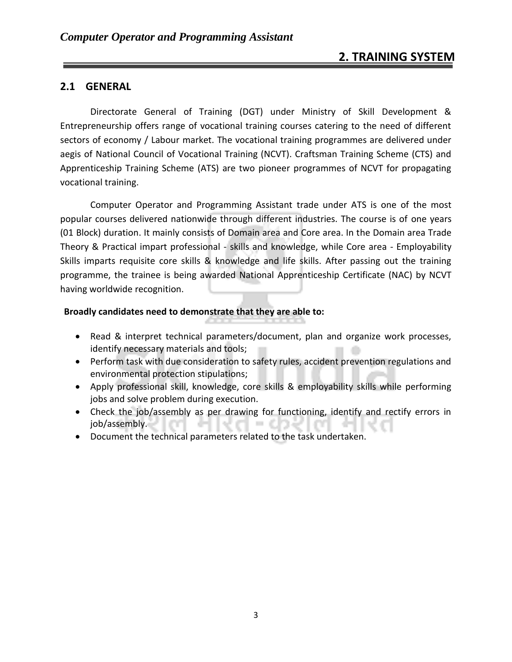### **2. TRAINING SYSTEM**

#### **2.1 GENERAL**

Directorate General of Training (DGT) under Ministry of Skill Development & Entrepreneurship offers range of vocational training courses catering to the need of different sectors of economy / Labour market. The vocational training programmes are delivered under aegis of National Council of Vocational Training (NCVT). Craftsman Training Scheme (CTS) and Apprenticeship Training Scheme (ATS) are two pioneer programmes of NCVT for propagating vocational training.

Computer Operator and Programming Assistant trade under ATS is one of the most popular courses delivered nationwide through different industries. The course is of one years (01 Block) duration. It mainly consists of Domain area and Core area. In the Domain area Trade Theory & Practical impart professional - skills and knowledge, while Core area - Employability Skills imparts requisite core skills & knowledge and life skills. After passing out the training programme, the trainee is being awarded National Apprenticeship Certificate (NAC) by NCVT having worldwide recognition.

#### **Broadly candidates need to demonstrate that they are able to:**

- Read & interpret technical parameters/document, plan and organize work processes, identify necessary materials and tools;
- Perform task with due consideration to safety rules, accident prevention regulations and environmental protection stipulations;
- Apply professional skill, knowledge, core skills & employability skills while performing jobs and solve problem during execution.
- Check the job/assembly as per drawing for functioning, identify and rectify errors in job/assembly. m. **COLLEGE**
- Document the technical parameters related to the task undertaken.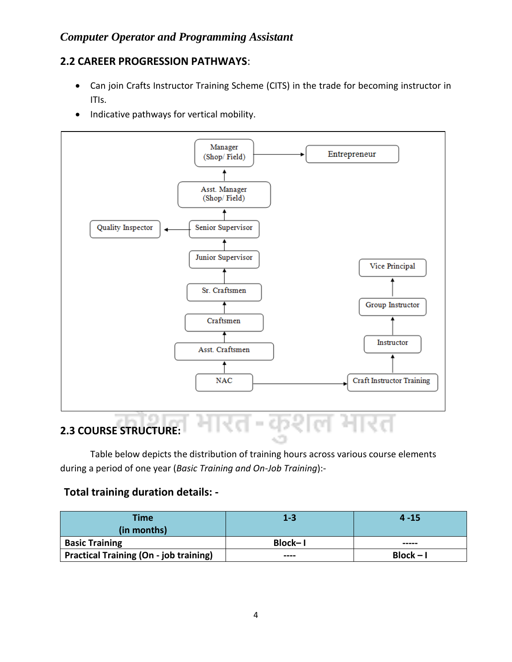#### **2.2 CAREER PROGRESSION PATHWAYS**:

- Can join Crafts Instructor Training Scheme (CITS) in the trade for becoming instructor in ITIs.
- Indicative pathways for vertical mobility.



Table below depicts the distribution of training hours across various course elements during a period of one year (*Basic Training and On-Job Training*):-

#### **Total training duration details: -**

| <b>Time</b>                                   | $1 - 3$ | $4 - 15$    |
|-----------------------------------------------|---------|-------------|
| (in months)                                   |         |             |
| <b>Basic Training</b>                         | Block-I | -----       |
| <b>Practical Training (On - job training)</b> | ----    | $Block - I$ |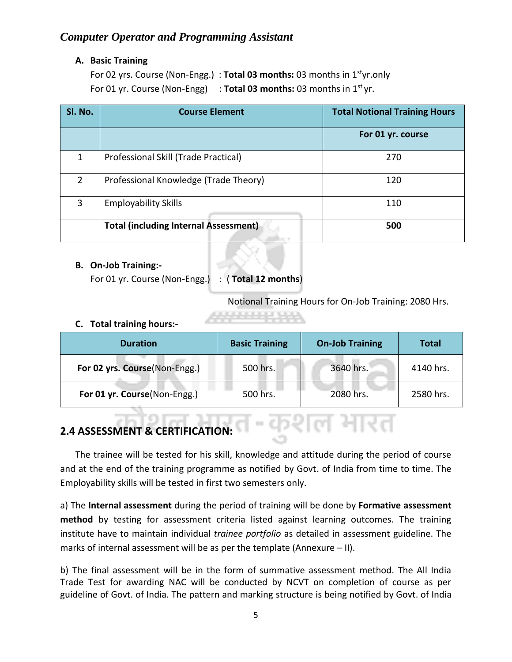#### **A. Basic Training**

For 02 yrs. Course (Non-Engg.) : **Total 03 months:** 03 months in 1styr.only For 01 yr. Course (Non-Engg) : Total 03 months: 03 months in 1<sup>st</sup> yr.

| SI. No.        | <b>Course Element</b>                        | <b>Total Notional Training Hours</b> |
|----------------|----------------------------------------------|--------------------------------------|
|                |                                              | For 01 yr. course                    |
| 1              | Professional Skill (Trade Practical)         | 270                                  |
| $\overline{2}$ | Professional Knowledge (Trade Theory)        | 120                                  |
| 3              | <b>Employability Skills</b>                  | 110                                  |
|                | <b>Total (including Internal Assessment)</b> | 500                                  |

#### **B. On-Job Training:-**

For 01 yr. Course (Non-Engg.) : ( **Total 12 months**)

Notional Training Hours for On-Job Training: 2080 Hrs.

#### **C. Total training hours:-**

| <b>Duration</b>               | <b>Basic Training</b> | <b>On-Job Training</b> | Total     |
|-------------------------------|-----------------------|------------------------|-----------|
| For 02 yrs. Course(Non-Engg.) | 500 hrs.              | 3640 hrs.              | 4140 hrs. |
| For 01 yr. Course(Non-Engg.)  | 500 hrs.              | 2080 hrs.              | 2580 hrs. |

#### **2.4 ASSESSMENT & CERTIFICATION:**

The trainee will be tested for his skill, knowledge and attitude during the period of course and at the end of the training programme as notified by Govt. of India from time to time. The Employability skills will be tested in first two semesters only.

a) The **Internal assessment** during the period of training will be done by **Formative assessment method** by testing for assessment criteria listed against learning outcomes. The training institute have to maintain individual *trainee portfolio* as detailed in assessment guideline. The marks of internal assessment will be as per the template (Annexure – II).

b) The final assessment will be in the form of summative assessment method. The All India Trade Test for awarding NAC will be conducted by NCVT on completion of course as per guideline of Govt. of India. The pattern and marking structure is being notified by Govt. of India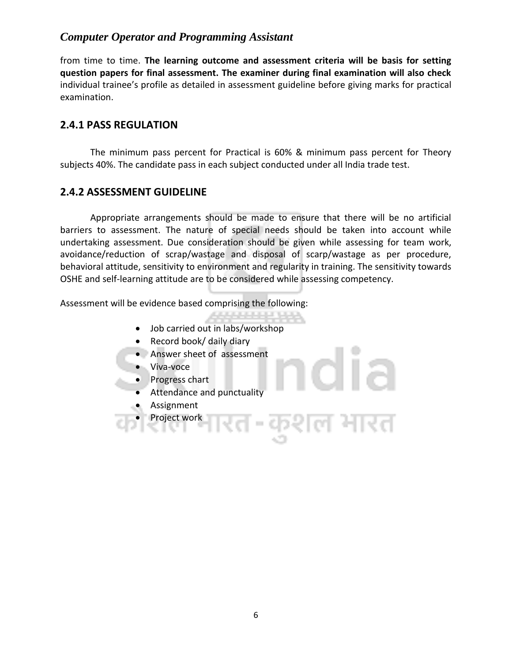from time to time. **The learning outcome and assessment criteria will be basis for setting question papers for final assessment. The examiner during final examination will also check**  individual trainee's profile as detailed in assessment guideline before giving marks for practical examination.

#### **2.4.1 PASS REGULATION**

The minimum pass percent for Practical is 60% & minimum pass percent for Theory subjects 40%. The candidate pass in each subject conducted under all India trade test.

#### **2.4.2 ASSESSMENT GUIDELINE**

Appropriate arrangements should be made to ensure that there will be no artificial barriers to assessment. The nature of special needs should be taken into account while undertaking assessment. Due consideration should be given while assessing for team work, avoidance/reduction of scrap/wastage and disposal of scarp/wastage as per procedure, behavioral attitude, sensitivity to environment and regularity in training. The sensitivity towards OSHE and self-learning attitude are to be considered while assessing competency.

المؤمن المراجل الرمان

 $\sim$ 

Assessment will be evidence based comprising the following:

- Job carried out in labs/workshop
- Record book/ daily diary
- Answer sheet of assessment
- Viva-voce
- Progress chart
- Attendance and punctuality
- Assignment
- Project work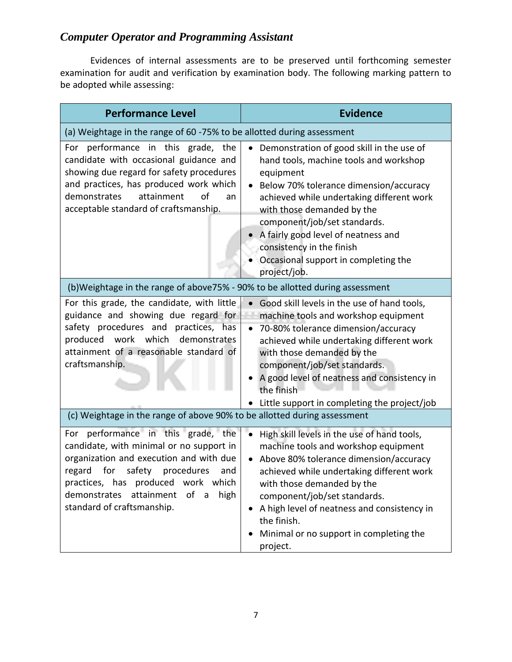Evidences of internal assessments are to be preserved until forthcoming semester examination for audit and verification by examination body. The following marking pattern to be adopted while assessing:

| <b>Performance Level</b>                                                                                                                                                                                                                                                                                  | <b>Evidence</b>                                                                                                                                                                                                                                                                                                                                                                   |
|-----------------------------------------------------------------------------------------------------------------------------------------------------------------------------------------------------------------------------------------------------------------------------------------------------------|-----------------------------------------------------------------------------------------------------------------------------------------------------------------------------------------------------------------------------------------------------------------------------------------------------------------------------------------------------------------------------------|
| (a) Weightage in the range of 60 -75% to be allotted during assessment                                                                                                                                                                                                                                    |                                                                                                                                                                                                                                                                                                                                                                                   |
| For performance in this grade, the<br>candidate with occasional guidance and<br>showing due regard for safety procedures<br>and practices, has produced work which<br>attainment<br>demonstrates<br>of<br>an<br>acceptable standard of craftsmanship.                                                     | Demonstration of good skill in the use of<br>hand tools, machine tools and workshop<br>equipment<br>Below 70% tolerance dimension/accuracy<br>achieved while undertaking different work<br>with those demanded by the<br>component/job/set standards.<br>A fairly good level of neatness and<br>consistency in the finish<br>Occasional support in completing the<br>project/job. |
| (b)Weightage in the range of above75% - 90% to be allotted during assessment                                                                                                                                                                                                                              |                                                                                                                                                                                                                                                                                                                                                                                   |
| For this grade, the candidate, with little<br>guidance and showing due regard for<br>safety procedures and practices, has<br>produced work which<br>demonstrates<br>attainment of a reasonable standard of<br>craftsmanship.                                                                              | Good skill levels in the use of hand tools,<br>machine tools and workshop equipment<br>70-80% tolerance dimension/accuracy<br>achieved while undertaking different work<br>with those demanded by the<br>component/job/set standards.<br>A good level of neatness and consistency in<br>the finish<br>• Little support in completing the project/job                              |
| (c) Weightage in the range of above 90% to be allotted during assessment                                                                                                                                                                                                                                  |                                                                                                                                                                                                                                                                                                                                                                                   |
| For performance in this grade, the<br>candidate, with minimal or no support in<br>organization and execution and with due<br>regard<br>for<br>safety<br>procedures<br>and<br>practices, has produced work which<br>demonstrates<br>attainment<br>of<br>high<br>$\mathsf{a}$<br>standard of craftsmanship. | High skill levels in the use of hand tools,<br>machine tools and workshop equipment<br>Above 80% tolerance dimension/accuracy<br>achieved while undertaking different work<br>with those demanded by the<br>component/job/set standards.<br>A high level of neatness and consistency in<br>the finish.<br>Minimal or no support in completing the<br>project.                     |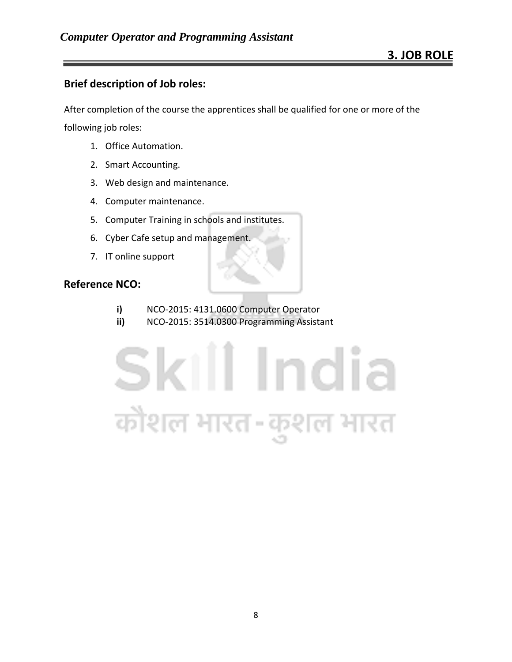#### **Brief description of Job roles:**

After completion of the course the apprentices shall be qualified for one or more of the

following job roles:

- 1. Office Automation.
- 2. Smart Accounting.
- 3. Web design and maintenance.
- 4. Computer maintenance.
- 5. Computer Training in schools and institutes.
- 6. Cyber Cafe setup and management.
- 7. IT online support

#### **Reference NCO:**

- **i)** NCO-2015: 4131.0600 Computer Operator
- **ii)** NCO-2015: 3514.0300 Programming Assistant

# Skill India कोशल भारत-कुशल भारत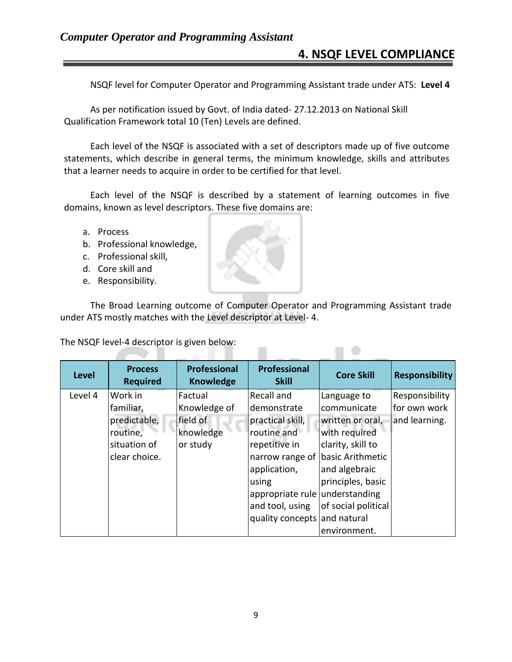### **4. NSQF LEVEL COMPLIANCE**

 $\Box$ 

NSQF level for Computer Operator and Programming Assistant trade under ATS: **Level 4**

As per notification issued by Govt. of India dated- 27.12.2013 on National Skill Qualification Framework total 10 (Ten) Levels are defined.

Each level of the NSQF is associated with a set of descriptors made up of five outcome statements, which describe in general terms, the minimum knowledge, skills and attributes that a learner needs to acquire in order to be certified for that level.

Each level of the NSQF is described by a statement of learning outcomes in five domains, known as level descriptors. These five domains are:

- a. Process
- b. Professional knowledge,
- c. Professional skill,
- d. Core skill and
- e. Responsibility.

A.

The Broad Learning outcome of Computer Operator and Programming Assistant trade under ATS mostly matches with the Level descriptor at Level- 4.

The NSQF level-4 descriptor is given below:

| <b>Level</b> | <b>Process</b><br><b>Required</b> | <b>Professional</b><br><b>Knowledge</b> | Professional<br><b>Skill</b>     | <b>Core Skill</b>   | <b>Responsibility</b> |
|--------------|-----------------------------------|-----------------------------------------|----------------------------------|---------------------|-----------------------|
| Level 4      | Work in                           | Factual                                 | <b>Recall and</b>                | Language to         | Responsibility        |
|              | familiar,                         | Knowledge of                            | demonstrate                      | communicate         | for own work          |
|              | predictable,                      | field of                                | practical skill,                 | written or oral,    | and learning.         |
|              | routine,                          | knowledge                               | routine and                      | with required       |                       |
|              | situation of                      | or study                                | repetitive in                    | clarity, skill to   |                       |
|              | clear choice.                     |                                         | narrow range of basic Arithmetic |                     |                       |
|              |                                   |                                         | application,                     | and algebraic       |                       |
|              |                                   |                                         | using                            | principles, basic   |                       |
|              |                                   |                                         | appropriate rule understanding   |                     |                       |
|              |                                   |                                         | and tool, using                  | of social political |                       |
|              |                                   |                                         | quality concepts and natural     |                     |                       |
|              |                                   |                                         |                                  | environment.        |                       |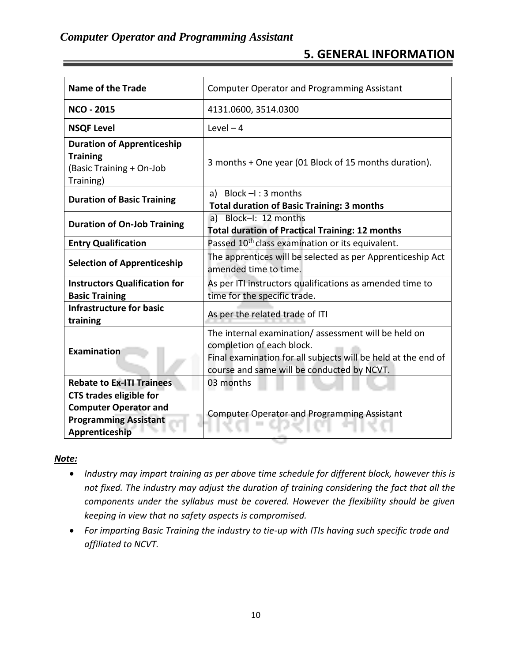## **5. GENERAL INFORMATION**

| Name of the Trade                                                                                                     | <b>Computer Operator and Programming Assistant</b>                                                                                                                                              |  |
|-----------------------------------------------------------------------------------------------------------------------|-------------------------------------------------------------------------------------------------------------------------------------------------------------------------------------------------|--|
| <b>NCO - 2015</b>                                                                                                     | 4131.0600, 3514.0300                                                                                                                                                                            |  |
| <b>NSQF Level</b>                                                                                                     | Level $-4$                                                                                                                                                                                      |  |
| <b>Duration of Apprenticeship</b><br><b>Training</b><br>(Basic Training + On-Job<br>Training)                         | 3 months + One year (01 Block of 15 months duration).                                                                                                                                           |  |
| <b>Duration of Basic Training</b>                                                                                     | a) Block $-I$ : 3 months<br><b>Total duration of Basic Training: 3 months</b>                                                                                                                   |  |
| a) Block-I: 12 months<br><b>Duration of On-Job Training</b><br><b>Total duration of Practical Training: 12 months</b> |                                                                                                                                                                                                 |  |
| Passed 10 <sup>th</sup> class examination or its equivalent.<br><b>Entry Qualification</b>                            |                                                                                                                                                                                                 |  |
| <b>Selection of Apprenticeship</b>                                                                                    | The apprentices will be selected as per Apprenticeship Act<br>amended time to time.                                                                                                             |  |
| <b>Instructors Qualification for</b><br><b>Basic Training</b>                                                         | As per ITI instructors qualifications as amended time to<br>time for the specific trade.                                                                                                        |  |
| <b>Infrastructure for basic</b><br>training                                                                           | As per the related trade of ITI                                                                                                                                                                 |  |
| <b>Examination</b>                                                                                                    | The internal examination/assessment will be held on<br>completion of each block.<br>Final examination for all subjects will be held at the end of<br>course and same will be conducted by NCVT. |  |
| <b>Rebate to Ex-ITI Trainees</b>                                                                                      | 03 months                                                                                                                                                                                       |  |
| <b>CTS trades eligible for</b><br><b>Computer Operator and</b><br><b>Programming Assistant</b><br>Apprenticeship      | <b>Computer Operator and Programming Assistant</b>                                                                                                                                              |  |

#### *Note:*

- *Industry may impart training as per above time schedule for different block, however this is not fixed. The industry may adjust the duration of training considering the fact that all the components under the syllabus must be covered. However the flexibility should be given keeping in view that no safety aspects is compromised.*
- *For imparting Basic Training the industry to tie-up with ITIs having such specific trade and affiliated to NCVT.*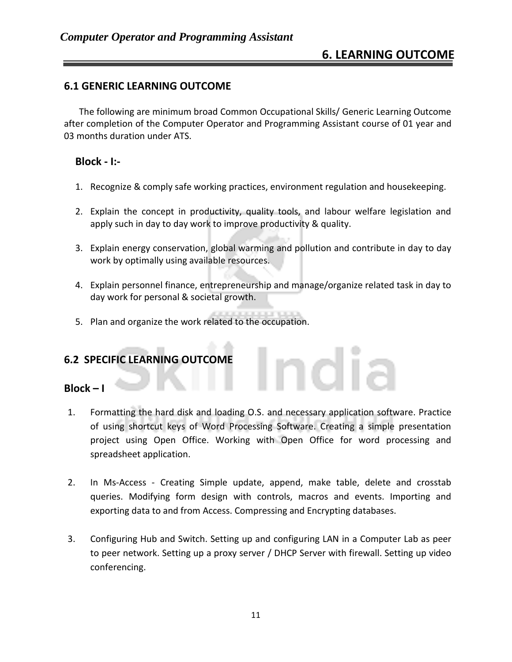#### **6.1 GENERIC LEARNING OUTCOME**

The following are minimum broad Common Occupational Skills/ Generic Learning Outcome after completion of the Computer Operator and Programming Assistant course of 01 year and 03 months duration under ATS.

#### **Block - I:-**

- 1. Recognize & comply safe working practices, environment regulation and housekeeping.
- 2. Explain the concept in productivity, quality tools, and labour welfare legislation and apply such in day to day work to improve productivity & quality.
- 3. Explain energy conservation, global warming and pollution and contribute in day to day work by optimally using available resources.
- 4. Explain personnel finance, entrepreneurship and manage/organize related task in day to day work for personal & societal growth.

idia

5. Plan and organize the work related to the occupation.

#### **6.2 SPECIFIC LEARNING OUTCOME**

#### **Block – I**

- 1. Formatting the hard disk and loading O.S. and necessary application software. Practice of using shortcut keys of Word Processing Software. Creating a simple presentation project using Open Office. Working with Open Office for word processing and spreadsheet application.
- 2. In Ms-Access Creating Simple update, append, make table, delete and crosstab queries. Modifying form design with controls, macros and events. Importing and exporting data to and from Access. Compressing and Encrypting databases.
- 3. Configuring Hub and Switch. Setting up and configuring LAN in a Computer Lab as peer to peer network. Setting up a proxy server / DHCP Server with firewall. Setting up video conferencing.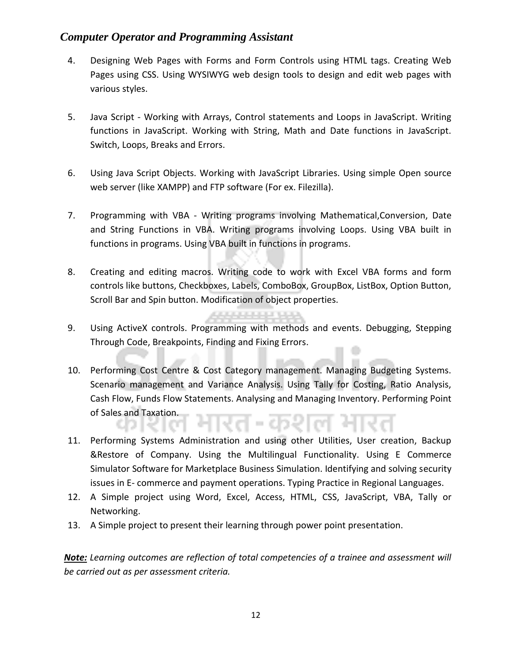- 4. Designing Web Pages with Forms and Form Controls using HTML tags. Creating Web Pages using CSS. Using WYSIWYG web design tools to design and edit web pages with various styles.
- 5. Java Script Working with Arrays, Control statements and Loops in JavaScript. Writing functions in JavaScript. Working with String, Math and Date functions in JavaScript. Switch, Loops, Breaks and Errors.
- 6. Using Java Script Objects. Working with JavaScript Libraries. Using simple Open source web server (like XAMPP) and FTP software (For ex. Filezilla).
- 7. Programming with VBA Writing programs involving [Mathematical,Conversion, Date](javascript:void(0))  [and](javascript:void(0)) [String Functions](javascript:void(0)) in VBA. Writing programs involving Loops. Using VBA built in functions in programs. Using VBA built in functions in programs.
- 8. Creating and editing macros. Writing code to work with Excel VBA forms and form controls like buttons, Checkboxes, Labels, ComboBox, GroupBox, ListBox, Option Button, Scroll Bar and Spin button. Modification of object properties.
- 9. Using ActiveX controls. Programming with methods and events. Debugging, [Stepping](javascript:void(0))  [Through Code, Breakpoints, Finding and Fixing Errors.](javascript:void(0))
- 10. Performing Cost Centre & Cost Category management. Managing Budgeting Systems. Scenario management and Variance Analysis. Using Tally for Costing, Ratio Analysis, Cash Flow, Funds Flow Statements. Analysing and Managing Inventory. Performing Point of Sales and Taxation.
- 11. Performing Systems Administration and using other Utilities, User creation, Backup &Restore of Company. Using the Multilingual Functionality. Using E Commerce Simulator Software for Marketplace Business Simulation. Identifying and solving security issues in E- commerce and payment operations. Typing Practice in Regional Languages.
- 12. A Simple project using Word, Excel, Access, HTML, CSS, JavaScript, VBA, Tally or Networking.
- 13. A Simple project to present their learning through power point presentation.

*Note: Learning outcomes are reflection of total competencies of a trainee and assessment will be carried out as per assessment criteria.*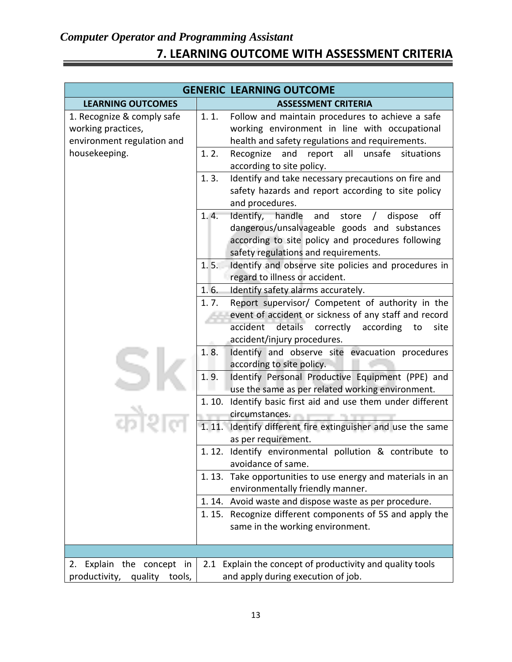# *Computer Operator and Programming Assistant* **7. LEARNING OUTCOME WITH ASSESSMENT CRITERIA**

| <b>GENERIC LEARNING OUTCOME</b>                                                                 |                                                                                                                                                                                                                                   |  |
|-------------------------------------------------------------------------------------------------|-----------------------------------------------------------------------------------------------------------------------------------------------------------------------------------------------------------------------------------|--|
| <b>LEARNING OUTCOMES</b>                                                                        | <b>ASSESSMENT CRITERIA</b>                                                                                                                                                                                                        |  |
| 1. Recognize & comply safe<br>working practices,<br>environment regulation and<br>housekeeping. | 1.1.<br>Follow and maintain procedures to achieve a safe<br>working environment in line with occupational<br>health and safety regulations and requirements.<br>1.2.<br>Recognize<br>and<br>all<br>unsafe<br>situations<br>report |  |
|                                                                                                 | according to site policy.                                                                                                                                                                                                         |  |
|                                                                                                 | Identify and take necessary precautions on fire and<br>1.3.<br>safety hazards and report according to site policy<br>and procedures.                                                                                              |  |
|                                                                                                 | off<br>1.4.<br>Identify, handle<br>and<br>store<br>dispose<br>dangerous/unsalvageable goods and substances<br>according to site policy and procedures following<br>safety regulations and requirements.                           |  |
|                                                                                                 | Identify and observe site policies and procedures in<br>1.5.<br>regard to illness or accident.                                                                                                                                    |  |
|                                                                                                 | 1.6.<br>Identify safety alarms accurately.                                                                                                                                                                                        |  |
|                                                                                                 | Report supervisor/ Competent of authority in the<br>1.7.<br>event of accident or sickness of any staff and record<br>details correctly<br>accident<br>according<br>site<br>to<br>accident/injury procedures.                      |  |
|                                                                                                 | 1.8.<br>Identify and observe site evacuation procedures<br>according to site policy.                                                                                                                                              |  |
|                                                                                                 | 1.9.<br>Identify Personal Productive Equipment (PPE) and<br>use the same as per related working environment.                                                                                                                      |  |
|                                                                                                 | Identify basic first aid and use them under different<br>1.10.<br>circumstances.                                                                                                                                                  |  |
|                                                                                                 | 1.11.<br>Identify different fire extinguisher and use the same<br>as per requirement.                                                                                                                                             |  |
|                                                                                                 | 1.12.<br>Identify environmental pollution & contribute to<br>avoidance of same.                                                                                                                                                   |  |
|                                                                                                 | Take opportunities to use energy and materials in an<br>1.13.<br>environmentally friendly manner.                                                                                                                                 |  |
|                                                                                                 | 1.14. Avoid waste and dispose waste as per procedure.                                                                                                                                                                             |  |
|                                                                                                 | Recognize different components of 5S and apply the<br>1. 15.<br>same in the working environment.                                                                                                                                  |  |
|                                                                                                 |                                                                                                                                                                                                                                   |  |
| 2. Explain the concept in<br>productivity,<br>quality<br>tools,                                 | Explain the concept of productivity and quality tools<br>2.1<br>and apply during execution of job.                                                                                                                                |  |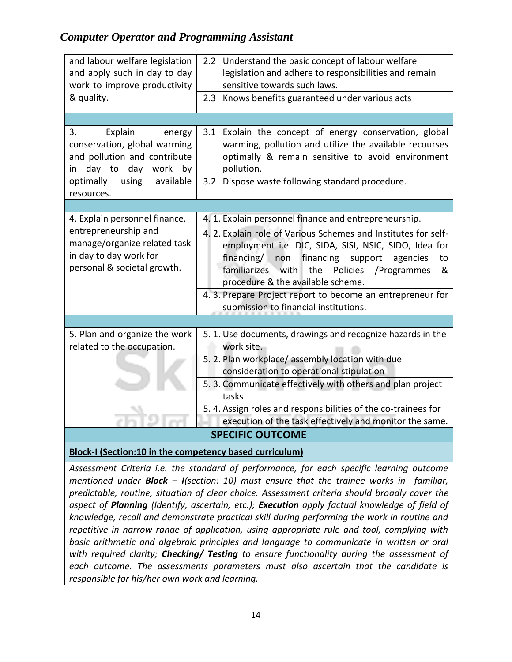| and labour welfare legislation<br>and apply such in day to day<br>work to improve productivity                               | 2.2 Understand the basic concept of labour welfare<br>legislation and adhere to responsibilities and remain<br>sensitive towards such laws.                                                                                                                                           |
|------------------------------------------------------------------------------------------------------------------------------|---------------------------------------------------------------------------------------------------------------------------------------------------------------------------------------------------------------------------------------------------------------------------------------|
| & quality.                                                                                                                   | 2.3 Knows benefits guaranteed under various acts                                                                                                                                                                                                                                      |
|                                                                                                                              |                                                                                                                                                                                                                                                                                       |
| Explain<br>3.<br>energy<br>conservation, global warming<br>and pollution and contribute<br>day<br>work<br>day to<br>by<br>in | 3.1 Explain the concept of energy conservation, global<br>warming, pollution and utilize the available recourses<br>optimally & remain sensitive to avoid environment<br>pollution.                                                                                                   |
| using<br>available<br>optimally<br>resources.                                                                                | 3.2 Dispose waste following standard procedure.                                                                                                                                                                                                                                       |
|                                                                                                                              |                                                                                                                                                                                                                                                                                       |
| 4. Explain personnel finance,                                                                                                | 4. 1. Explain personnel finance and entrepreneurship.                                                                                                                                                                                                                                 |
| entrepreneurship and<br>manage/organize related task<br>in day to day work for<br>personal & societal growth.                | 4. 2. Explain role of Various Schemes and Institutes for self-<br>employment i.e. DIC, SIDA, SISI, NSIC, SIDO, Idea for<br>financing/<br>financing<br>non<br>support<br>agencies<br>to<br>the<br>familiarizes with<br>Policies / Programmes<br>&<br>procedure & the available scheme. |
|                                                                                                                              | 4. 3. Prepare Project report to become an entrepreneur for<br>submission to financial institutions.                                                                                                                                                                                   |
|                                                                                                                              |                                                                                                                                                                                                                                                                                       |
| 5. Plan and organize the work<br>related to the occupation.                                                                  | 5. 1. Use documents, drawings and recognize hazards in the<br>work site.                                                                                                                                                                                                              |
|                                                                                                                              | 5. 2. Plan workplace/assembly location with due<br>consideration to operational stipulation                                                                                                                                                                                           |
|                                                                                                                              | 5. 3. Communicate effectively with others and plan project<br>tasks                                                                                                                                                                                                                   |
|                                                                                                                              | 5. 4. Assign roles and responsibilities of the co-trainees for<br>execution of the task effectively and monitor the same.                                                                                                                                                             |
|                                                                                                                              | <b>SPECIFIC OUTCOME</b>                                                                                                                                                                                                                                                               |

**Block-I (Section:10 in the competency based curriculum)**

*Assessment Criteria i.e. the standard of performance, for each specific learning outcome mentioned under Block – I(section: 10) must ensure that the trainee works in familiar, predictable, routine, situation of clear choice. Assessment criteria should broadly cover the aspect of Planning (Identify, ascertain, etc.); Execution apply factual knowledge of field of knowledge, recall and demonstrate practical skill during performing the work in routine and repetitive in narrow range of application, using appropriate rule and tool, complying with basic arithmetic and algebraic principles and language to communicate in written or oral with required clarity; Checking/ Testing to ensure functionality during the assessment of each outcome. The assessments parameters must also ascertain that the candidate is responsible for his/her own work and learning.*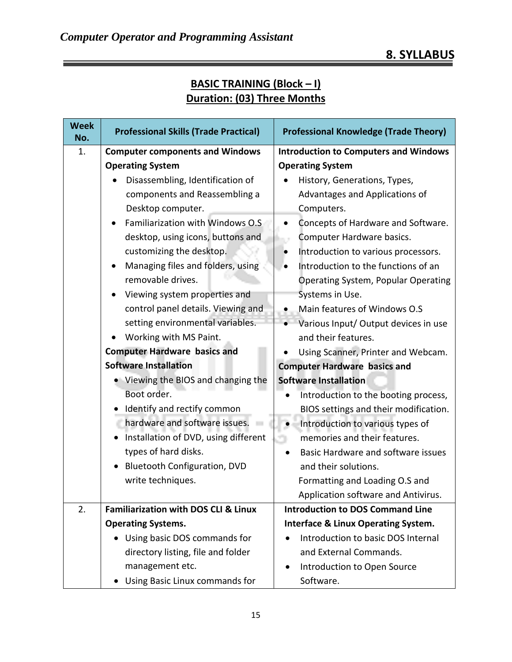| <b>Week</b><br>No. | <b>Professional Skills (Trade Practical)</b>    | <b>Professional Knowledge (Trade Theory)</b>   |
|--------------------|-------------------------------------------------|------------------------------------------------|
| 1.                 | <b>Computer components and Windows</b>          | <b>Introduction to Computers and Windows</b>   |
|                    | <b>Operating System</b>                         | <b>Operating System</b>                        |
|                    | Disassembling, Identification of                | History, Generations, Types,                   |
|                    | components and Reassembling a                   | Advantages and Applications of                 |
|                    | Desktop computer.                               | Computers.                                     |
|                    | Familiarization with Windows O.S                | Concepts of Hardware and Software.             |
|                    | desktop, using icons, buttons and               | Computer Hardware basics.                      |
|                    | customizing the desktop.                        | Introduction to various processors.            |
|                    | Managing files and folders, using               | Introduction to the functions of an            |
|                    | removable drives.                               | <b>Operating System, Popular Operating</b>     |
|                    | Viewing system properties and                   | Systems in Use.                                |
|                    | control panel details. Viewing and              | Main features of Windows O.S                   |
|                    | setting environmental variables.                | Various Input/ Output devices in use           |
|                    | Working with MS Paint.                          | and their features.                            |
|                    | <b>Computer Hardware basics and</b>             | Using Scanner, Printer and Webcam.             |
|                    | <b>Software Installation</b>                    | <b>Computer Hardware basics and</b>            |
|                    | Viewing the BIOS and changing the               | <b>Software Installation</b>                   |
|                    | Boot order.                                     | Introduction to the booting process,           |
|                    | Identify and rectify common                     | BIOS settings and their modification.          |
|                    | hardware and software issues.                   | Introduction to various types of               |
|                    | Installation of DVD, using different            | memories and their features.                   |
|                    | types of hard disks.                            | Basic Hardware and software issues             |
|                    | <b>Bluetooth Configuration, DVD</b>             | and their solutions.                           |
|                    | write techniques.                               | Formatting and Loading O.S and                 |
|                    |                                                 | Application software and Antivirus.            |
| 2.                 | <b>Familiarization with DOS CLI &amp; Linux</b> | <b>Introduction to DOS Command Line</b>        |
|                    | <b>Operating Systems.</b>                       | <b>Interface &amp; Linux Operating System.</b> |
|                    | Using basic DOS commands for                    | Introduction to basic DOS Internal             |
|                    | directory listing, file and folder              | and External Commands.                         |
|                    | management etc.                                 | Introduction to Open Source<br>$\bullet$       |
|                    | Using Basic Linux commands for                  | Software.                                      |

# **BASIC TRAINING (Block – I) Duration: (03) Three Months**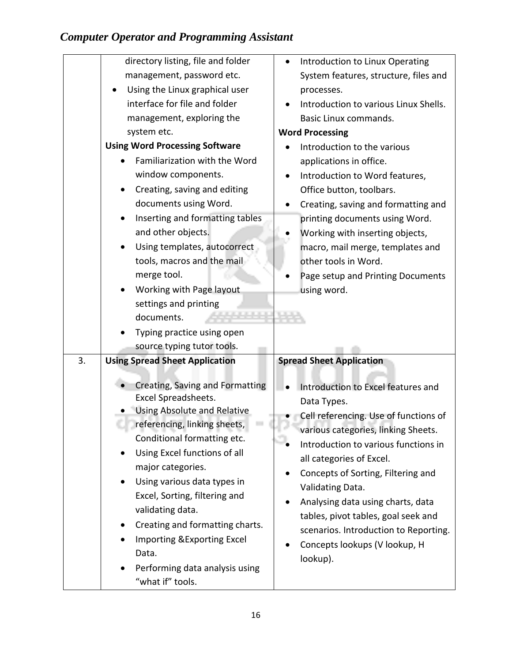| directory listing, file and folder                     | Introduction to Linux Operating       |
|--------------------------------------------------------|---------------------------------------|
| management, password etc.                              | System features, structure, files and |
| Using the Linux graphical user                         | processes.                            |
| interface for file and folder                          | Introduction to various Linux Shells. |
| management, exploring the                              | Basic Linux commands.                 |
| system etc.                                            | <b>Word Processing</b>                |
| <b>Using Word Processing Software</b>                  | Introduction to the various           |
| Familiarization with the Word                          | applications in office.               |
| window components.                                     | Introduction to Word features,        |
| Creating, saving and editing                           | Office button, toolbars.              |
| documents using Word.                                  | Creating, saving and formatting and   |
| Inserting and formatting tables                        | printing documents using Word.        |
| and other objects.                                     | Working with inserting objects,       |
| Using templates, autocorrect                           | macro, mail merge, templates and      |
| tools, macros and the mail                             | other tools in Word.                  |
| merge tool.                                            | Page setup and Printing Documents     |
| Working with Page layout                               | using word.                           |
| settings and printing                                  |                                       |
| documents.                                             |                                       |
| Typing practice using open                             |                                       |
| source typing tutor tools.                             |                                       |
| 3.<br><b>Using Spread Sheet Application</b>            | <b>Spread Sheet Application</b>       |
|                                                        |                                       |
| Creating, Saving and Formatting<br>Excel Spreadsheets. | Introduction to Excel features and    |
| Using Absolute and Relative                            | Data Types.                           |
| referencing, linking sheets,                           | Cell referencing. Use of functions of |
| Conditional formatting etc.                            | various categories, linking Sheets.   |
| Using Excel functions of all<br>$\bullet$              | Introduction to various functions in  |
| major categories.                                      | all categories of Excel.              |
| Using various data types in<br>$\bullet$               | Concepts of Sorting, Filtering and    |
| Excel, Sorting, filtering and                          | Validating Data.                      |
| validating data.                                       | Analysing data using charts, data     |
| Creating and formatting charts.<br>$\bullet$           | tables, pivot tables, goal seek and   |
| Importing & Exporting Excel                            | scenarios. Introduction to Reporting. |
| Data.                                                  | Concepts lookups (V lookup, H         |
| Performing data analysis using                         | lookup).                              |
|                                                        |                                       |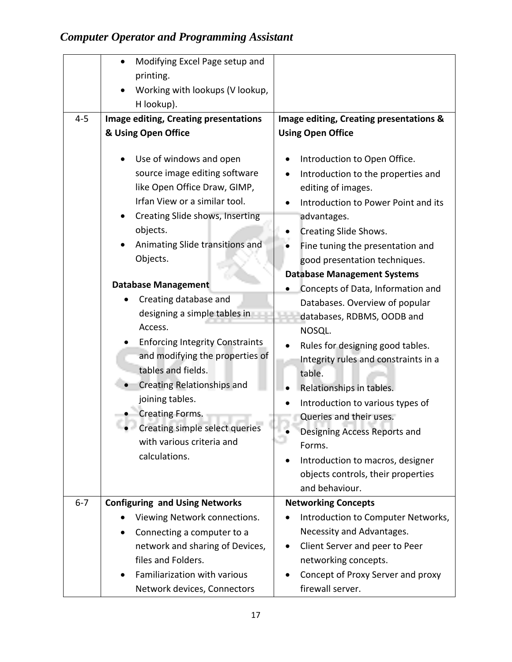|         | Modifying Excel Page setup and                                                                                            |                                                                                                                                 |  |
|---------|---------------------------------------------------------------------------------------------------------------------------|---------------------------------------------------------------------------------------------------------------------------------|--|
|         | printing.                                                                                                                 |                                                                                                                                 |  |
|         | Working with lookups (V lookup,                                                                                           |                                                                                                                                 |  |
|         | H lookup).                                                                                                                |                                                                                                                                 |  |
| $4 - 5$ | Image editing, Creating presentations                                                                                     | Image editing, Creating presentations &                                                                                         |  |
|         | & Using Open Office                                                                                                       | <b>Using Open Office</b>                                                                                                        |  |
|         | Use of windows and open<br>source image editing software<br>like Open Office Draw, GIMP,<br>Irfan View or a similar tool. | Introduction to Open Office.<br>Introduction to the properties and<br>editing of images.<br>Introduction to Power Point and its |  |
|         | Creating Slide shows, Inserting                                                                                           | advantages.                                                                                                                     |  |
|         | objects.                                                                                                                  | <b>Creating Slide Shows.</b>                                                                                                    |  |
|         | Animating Slide transitions and                                                                                           | Fine tuning the presentation and                                                                                                |  |
|         | Objects.                                                                                                                  | good presentation techniques.                                                                                                   |  |
|         |                                                                                                                           | <b>Database Management Systems</b>                                                                                              |  |
|         | <b>Database Management</b>                                                                                                | Concepts of Data, Information and                                                                                               |  |
|         | Creating database and                                                                                                     | Databases. Overview of popular                                                                                                  |  |
|         | designing a simple tables in                                                                                              | databases, RDBMS, OODB and                                                                                                      |  |
|         | Access.                                                                                                                   | NOSQL.                                                                                                                          |  |
|         | <b>Enforcing Integrity Constraints</b>                                                                                    | Rules for designing good tables.                                                                                                |  |
|         | and modifying the properties of                                                                                           | Integrity rules and constraints in a                                                                                            |  |
|         | tables and fields.                                                                                                        | table.                                                                                                                          |  |
|         | <b>Creating Relationships and</b>                                                                                         | Relationships in tables.                                                                                                        |  |
|         | joining tables.                                                                                                           | Introduction to various types of                                                                                                |  |
|         | <b>Creating Forms.</b>                                                                                                    | Queries and their uses.                                                                                                         |  |
|         | Creating simple select queries                                                                                            | Designing Access Reports and                                                                                                    |  |
|         | with various criteria and                                                                                                 | Forms.                                                                                                                          |  |
|         | calculations.                                                                                                             | Introduction to macros, designer                                                                                                |  |
|         |                                                                                                                           | objects controls, their properties                                                                                              |  |
|         |                                                                                                                           | and behaviour.                                                                                                                  |  |
| $6 - 7$ | <b>Configuring and Using Networks</b>                                                                                     | <b>Networking Concepts</b>                                                                                                      |  |
|         | Viewing Network connections.                                                                                              | Introduction to Computer Networks,                                                                                              |  |
|         | Connecting a computer to a<br>$\bullet$                                                                                   | Necessity and Advantages.                                                                                                       |  |
|         | network and sharing of Devices,                                                                                           | Client Server and peer to Peer<br>٠                                                                                             |  |
|         | files and Folders.                                                                                                        | networking concepts.                                                                                                            |  |
|         | Familiarization with various                                                                                              | Concept of Proxy Server and proxy                                                                                               |  |
|         | Network devices, Connectors                                                                                               | firewall server.                                                                                                                |  |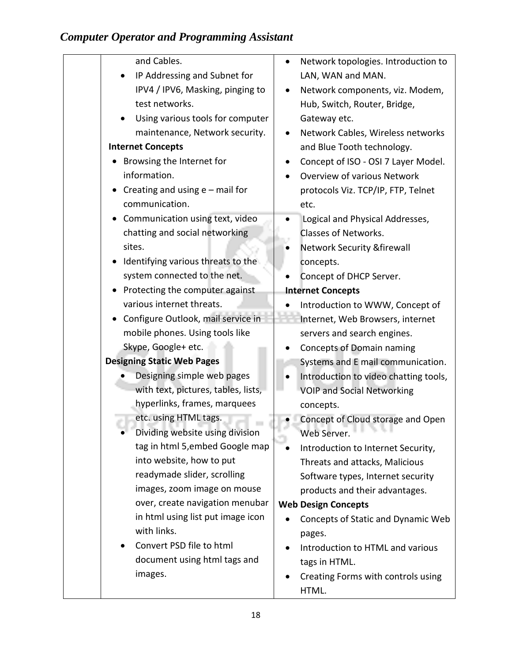| and Cables.                                      | Network topologies. Introduction to    |
|--------------------------------------------------|----------------------------------------|
| IP Addressing and Subnet for                     | LAN, WAN and MAN.                      |
| IPV4 / IPV6, Masking, pinging to                 | Network components, viz. Modem,        |
| test networks.                                   | Hub, Switch, Router, Bridge,           |
| Using various tools for computer                 | Gateway etc.                           |
| maintenance, Network security.                   | Network Cables, Wireless networks      |
| <b>Internet Concepts</b>                         | and Blue Tooth technology.             |
| Browsing the Internet for                        | Concept of ISO - OSI 7 Layer Model.    |
| information.                                     | Overview of various Network            |
| • Creating and using $e$ – mail for              | protocols Viz. TCP/IP, FTP, Telnet     |
| communication.                                   | etc.                                   |
| Communication using text, video                  | Logical and Physical Addresses,        |
| chatting and social networking                   | Classes of Networks.                   |
| sites.                                           | <b>Network Security &amp; firewall</b> |
| Identifying various threats to the               | concepts.                              |
| system connected to the net.                     | Concept of DHCP Server.                |
| Protecting the computer against                  | <b>Internet Concepts</b>               |
| various internet threats.                        | Introduction to WWW, Concept of        |
| Configure Outlook, mail service in               | Internet, Web Browsers, internet       |
| mobile phones. Using tools like                  | servers and search engines.            |
| Skype, Google+ etc.                              | <b>Concepts of Domain naming</b>       |
| <b>Designing Static Web Pages</b>                | Systems and E mail communication.      |
| Designing simple web pages                       | Introduction to video chatting tools,  |
| with text, pictures, tables, lists,              | <b>VOIP and Social Networking</b>      |
| hyperlinks, frames, marquees                     | concepts.                              |
| etc. using HTML tags.                            | Concept of Cloud storage and Open      |
| Dividing website using division                  | Web Server.                            |
| tag in html 5, embed Google map                  | Introduction to Internet Security,     |
| into website, how to put                         | Threats and attacks, Malicious         |
| readymade slider, scrolling                      | Software types, Internet security      |
| images, zoom image on mouse                      | products and their advantages.         |
| over, create navigation menubar                  | <b>Web Design Concepts</b>             |
| in html using list put image icon<br>with links. | Concepts of Static and Dynamic Web     |
|                                                  | pages.                                 |
| Convert PSD file to html                         | Introduction to HTML and various       |
| document using html tags and                     | tags in HTML.                          |
| images.                                          | Creating Forms with controls using     |
|                                                  | HTML.                                  |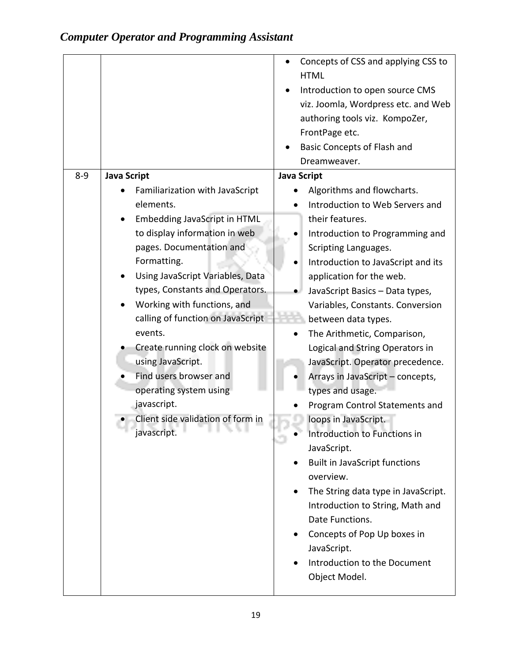|         |                                                                                                                                                                                                                                                                                                                                                                                                                                                                                                                            | Concepts of CSS and applying CSS to<br><b>HTML</b><br>Introduction to open source CMS<br>viz. Joomla, Wordpress etc. and Web<br>authoring tools viz. KompoZer,<br>FrontPage etc.<br>Basic Concepts of Flash and<br>Dreamweaver.                                                                                                                                                                                                                                                                                                                                                                                                                                                                                                                                                                                                                                         |
|---------|----------------------------------------------------------------------------------------------------------------------------------------------------------------------------------------------------------------------------------------------------------------------------------------------------------------------------------------------------------------------------------------------------------------------------------------------------------------------------------------------------------------------------|-------------------------------------------------------------------------------------------------------------------------------------------------------------------------------------------------------------------------------------------------------------------------------------------------------------------------------------------------------------------------------------------------------------------------------------------------------------------------------------------------------------------------------------------------------------------------------------------------------------------------------------------------------------------------------------------------------------------------------------------------------------------------------------------------------------------------------------------------------------------------|
| $8 - 9$ | <b>Java Script</b><br>Familiarization with JavaScript<br>elements.<br><b>Embedding JavaScript in HTML</b><br>to display information in web<br>pages. Documentation and<br>Formatting.<br>Using JavaScript Variables, Data<br>types, Constants and Operators.<br>Working with functions, and<br>calling of function on JavaScript<br>events.<br>Create running clock on website<br>using JavaScript.<br>Find users browser and<br>operating system using<br>javascript.<br>Client side validation of form in<br>javascript. | <b>Java Script</b><br>Algorithms and flowcharts.<br>Introduction to Web Servers and<br>their features.<br>Introduction to Programming and<br>Scripting Languages.<br>Introduction to JavaScript and its<br>application for the web.<br>JavaScript Basics - Data types,<br>Variables, Constants. Conversion<br>between data types.<br>The Arithmetic, Comparison,<br>Logical and String Operators in<br>JavaScript. Operator precedence.<br>Arrays in JavaScript - concepts,<br>types and usage.<br>Program Control Statements and<br>loops in JavaScript.<br>Introduction to Functions in<br>JavaScript.<br><b>Built in JavaScript functions</b><br>overview.<br>The String data type in JavaScript.<br>$\bullet$<br>Introduction to String, Math and<br>Date Functions.<br>Concepts of Pop Up boxes in<br>JavaScript.<br>Introduction to the Document<br>Object Model. |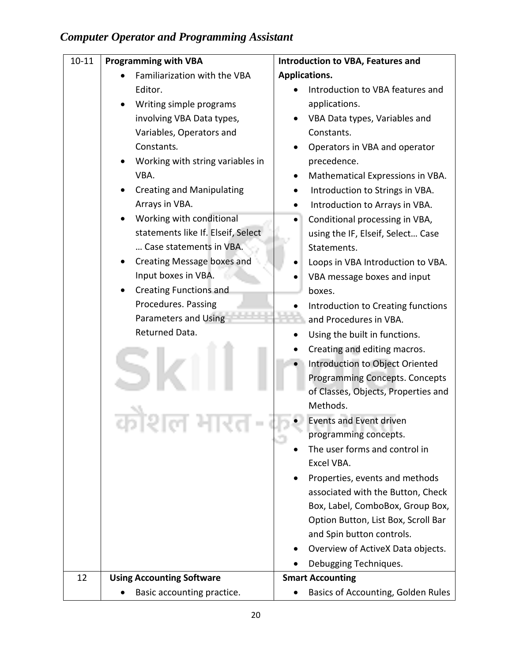| $10 - 11$ | <b>Programming with VBA</b>             | <b>Introduction to VBA, Features and</b>        |  |
|-----------|-----------------------------------------|-------------------------------------------------|--|
|           | Familiarization with the VBA            | Applications.                                   |  |
|           | Editor.                                 | Introduction to VBA features and                |  |
|           | Writing simple programs                 | applications.                                   |  |
|           | involving VBA Data types,               | VBA Data types, Variables and                   |  |
|           | Variables, Operators and                | Constants.                                      |  |
|           | Constants.                              | Operators in VBA and operator                   |  |
|           | Working with string variables in        | precedence.                                     |  |
|           | VBA.                                    | Mathematical Expressions in VBA.                |  |
|           | <b>Creating and Manipulating</b>        | Introduction to Strings in VBA.                 |  |
|           | Arrays in VBA.                          | Introduction to Arrays in VBA.                  |  |
|           | Working with conditional                | Conditional processing in VBA,                  |  |
|           | statements like If. Elseif, Select      | using the IF, Elseif, Select Case               |  |
|           | Case statements in VBA.                 | Statements.                                     |  |
|           | Creating Message boxes and<br>$\bullet$ | Loops in VBA Introduction to VBA.               |  |
|           | Input boxes in VBA.                     | VBA message boxes and input                     |  |
|           | <b>Creating Functions and</b>           | boxes.                                          |  |
|           | Procedures. Passing                     | Introduction to Creating functions              |  |
|           | Parameters and Using                    | and Procedures in VBA.                          |  |
|           | Returned Data.                          | Using the built in functions.                   |  |
|           |                                         | Creating and editing macros.                    |  |
|           |                                         | Introduction to Object Oriented                 |  |
|           |                                         | <b>Programming Concepts. Concepts</b>           |  |
|           |                                         | of Classes, Objects, Properties and             |  |
|           |                                         | Methods.                                        |  |
|           |                                         | <b>Events and Event driven</b>                  |  |
|           |                                         | programming concepts.                           |  |
|           |                                         | The user forms and control in                   |  |
|           |                                         | Excel VBA.                                      |  |
|           |                                         | Properties, events and methods                  |  |
|           |                                         | associated with the Button, Check               |  |
|           |                                         | Box, Label, ComboBox, Group Box,                |  |
|           |                                         | Option Button, List Box, Scroll Bar             |  |
|           |                                         | and Spin button controls.                       |  |
|           |                                         | Overview of ActiveX Data objects.               |  |
|           |                                         | Debugging Techniques.                           |  |
| 12        | <b>Using Accounting Software</b>        | <b>Smart Accounting</b>                         |  |
|           | Basic accounting practice.              | Basics of Accounting, Golden Rules<br>$\bullet$ |  |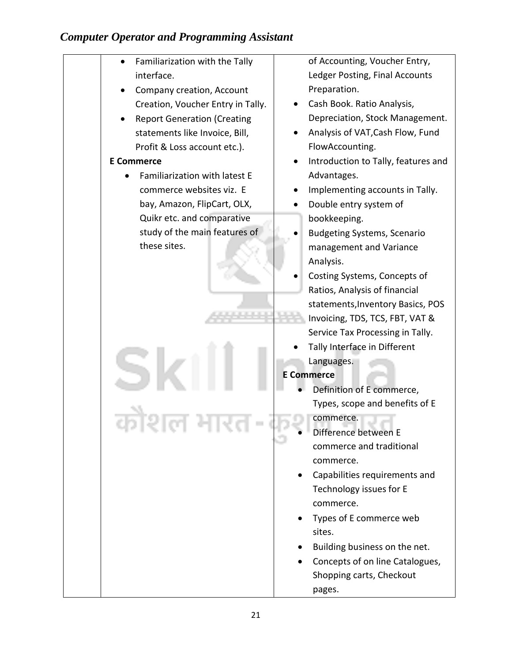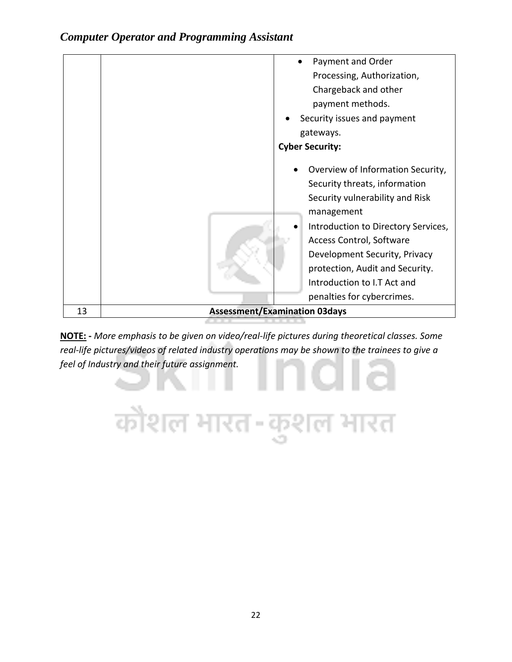|    | Payment and Order                                                                                                                                                                                                       |
|----|-------------------------------------------------------------------------------------------------------------------------------------------------------------------------------------------------------------------------|
|    | Processing, Authorization,                                                                                                                                                                                              |
|    | Chargeback and other                                                                                                                                                                                                    |
|    | payment methods.                                                                                                                                                                                                        |
|    | Security issues and payment                                                                                                                                                                                             |
|    | gateways.                                                                                                                                                                                                               |
|    | <b>Cyber Security:</b>                                                                                                                                                                                                  |
|    | Overview of Information Security,<br>Security threats, information<br>Security vulnerability and Risk<br>management<br>Introduction to Directory Services,<br>Access Control, Software<br>Development Security, Privacy |
|    | protection, Audit and Security.                                                                                                                                                                                         |
|    | Introduction to I.T Act and                                                                                                                                                                                             |
|    | penalties for cybercrimes.                                                                                                                                                                                              |
| 13 | <b>Assessment/Examination 03days</b>                                                                                                                                                                                    |

**NOTE: -** *More emphasis to be given on video/real-life pictures during theoretical classes. Some real-life pictures/videos of related industry operations may be shown to the trainees to give a feel of Industry and their future assignment.*

कौशल भारत-कुशल भारत

Vita 1991

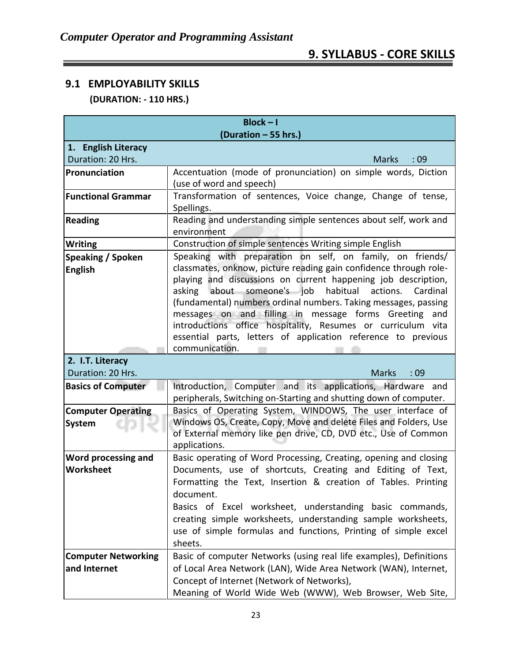# **9. SYLLABUS - CORE SKILLS**

## **9.1 EMPLOYABILITY SKILLS (DURATION: - 110 HRS.)**

| $Block - I$<br>(Duration - 55 hrs.)            |                                                                                                                                                                                                                                                                                                                                                                                                                                                                                                                                                  |  |  |
|------------------------------------------------|--------------------------------------------------------------------------------------------------------------------------------------------------------------------------------------------------------------------------------------------------------------------------------------------------------------------------------------------------------------------------------------------------------------------------------------------------------------------------------------------------------------------------------------------------|--|--|
| 1. English Literacy                            |                                                                                                                                                                                                                                                                                                                                                                                                                                                                                                                                                  |  |  |
| Duration: 20 Hrs.                              | :09<br><b>Marks</b>                                                                                                                                                                                                                                                                                                                                                                                                                                                                                                                              |  |  |
| Pronunciation                                  | Accentuation (mode of pronunciation) on simple words, Diction<br>(use of word and speech)                                                                                                                                                                                                                                                                                                                                                                                                                                                        |  |  |
| <b>Functional Grammar</b>                      | Transformation of sentences, Voice change, Change of tense,<br>Spellings.                                                                                                                                                                                                                                                                                                                                                                                                                                                                        |  |  |
| <b>Reading</b>                                 | Reading and understanding simple sentences about self, work and<br>environment                                                                                                                                                                                                                                                                                                                                                                                                                                                                   |  |  |
| <b>Writing</b>                                 | Construction of simple sentences Writing simple English                                                                                                                                                                                                                                                                                                                                                                                                                                                                                          |  |  |
| <b>Speaking / Spoken</b><br><b>English</b>     | Speaking with preparation on self, on family, on friends/<br>classmates, onknow, picture reading gain confidence through role-<br>playing and discussions on current happening job description,<br>asking about someone's job habitual<br>actions.<br>Cardinal<br>(fundamental) numbers ordinal numbers. Taking messages, passing<br>messages on and filling in message forms Greeting<br>and<br>introductions office hospitality, Resumes or curriculum vita<br>essential parts, letters of application reference to previous<br>communication. |  |  |
| 2. I.T. Literacy<br>Duration: 20 Hrs.          | <b>Marks</b>                                                                                                                                                                                                                                                                                                                                                                                                                                                                                                                                     |  |  |
| <b>Basics of Computer</b>                      | :09<br>Introduction, Computer and its applications, Hardware and                                                                                                                                                                                                                                                                                                                                                                                                                                                                                 |  |  |
|                                                | peripherals, Switching on-Starting and shutting down of computer.                                                                                                                                                                                                                                                                                                                                                                                                                                                                                |  |  |
| <b>Computer Operating</b><br><b>System</b>     | Basics of Operating System, WINDOWS, The user interface of<br>Windows OS, Create, Copy, Move and delete Files and Folders, Use<br>of External memory like pen drive, CD, DVD etc., Use of Common<br>applications.                                                                                                                                                                                                                                                                                                                                |  |  |
| <b>Word processing and</b><br><b>Worksheet</b> | Basic operating of Word Processing, Creating, opening and closing<br>Documents, use of shortcuts, Creating and Editing of Text,<br>Formatting the Text, Insertion & creation of Tables. Printing<br>document.<br>Basics of Excel worksheet, understanding basic commands,<br>creating simple worksheets, understanding sample worksheets,<br>use of simple formulas and functions, Printing of simple excel<br>sheets.                                                                                                                           |  |  |
| <b>Computer Networking</b><br>and Internet     | Basic of computer Networks (using real life examples), Definitions<br>of Local Area Network (LAN), Wide Area Network (WAN), Internet,<br>Concept of Internet (Network of Networks),<br>Meaning of World Wide Web (WWW), Web Browser, Web Site,                                                                                                                                                                                                                                                                                                   |  |  |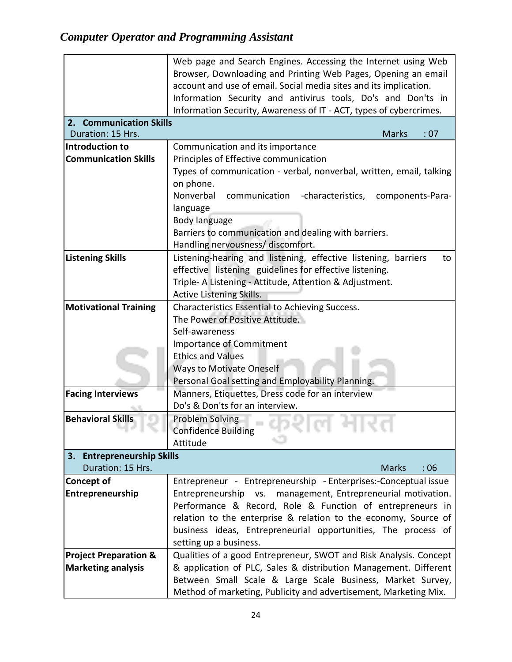|                                  | Web page and Search Engines. Accessing the Internet using Web        |  |  |
|----------------------------------|----------------------------------------------------------------------|--|--|
|                                  | Browser, Downloading and Printing Web Pages, Opening an email        |  |  |
|                                  | account and use of email. Social media sites and its implication.    |  |  |
|                                  | Information Security and antivirus tools, Do's and Don'ts in         |  |  |
|                                  | Information Security, Awareness of IT - ACT, types of cybercrimes.   |  |  |
| 2. Communication Skills          |                                                                      |  |  |
| Duration: 15 Hrs.                | <b>Marks</b><br>: 07                                                 |  |  |
| Introduction to                  | Communication and its importance                                     |  |  |
| <b>Communication Skills</b>      | Principles of Effective communication                                |  |  |
|                                  | Types of communication - verbal, nonverbal, written, email, talking  |  |  |
|                                  | on phone.                                                            |  |  |
|                                  | Nonverbal<br>communication -characteristics,<br>components-Para-     |  |  |
|                                  | language                                                             |  |  |
|                                  | Body language                                                        |  |  |
|                                  | Barriers to communication and dealing with barriers.                 |  |  |
|                                  | Handling nervousness/ discomfort.                                    |  |  |
| <b>Listening Skills</b>          | Listening-hearing and listening, effective listening, barriers<br>to |  |  |
|                                  | effective listening guidelines for effective listening.              |  |  |
|                                  | Triple- A Listening - Attitude, Attention & Adjustment.              |  |  |
|                                  | Active Listening Skills.                                             |  |  |
| <b>Motivational Training</b>     | Characteristics Essential to Achieving Success.                      |  |  |
|                                  | The Power of Positive Attitude.                                      |  |  |
|                                  | Self-awareness                                                       |  |  |
|                                  | <b>Importance of Commitment</b>                                      |  |  |
|                                  | <b>Ethics and Values</b>                                             |  |  |
|                                  | <b>Ways to Motivate Oneself</b>                                      |  |  |
|                                  | Personal Goal setting and Employability Planning.                    |  |  |
| <b>Facing Interviews</b>         | Manners, Etiquettes, Dress code for an interview                     |  |  |
|                                  | Do's & Don'ts for an interview.                                      |  |  |
| <b>Behavioral Skills</b>         | Problem Solving                                                      |  |  |
|                                  | <b>Confidence Building</b><br>m                                      |  |  |
|                                  | Attitude                                                             |  |  |
| 3. Entrepreneurship Skills       |                                                                      |  |  |
| Duration: 15 Hrs.                | <b>Marks</b><br>:06                                                  |  |  |
| <b>Concept of</b>                | Entrepreneur - Entrepreneurship - Enterprises:-Conceptual issue      |  |  |
| Entrepreneurship                 | management, Entrepreneurial motivation.<br>VS.<br>Entrepreneurship   |  |  |
|                                  | Performance & Record, Role & Function of entrepreneurs in            |  |  |
|                                  | relation to the enterprise & relation to the economy, Source of      |  |  |
|                                  | business ideas, Entrepreneurial opportunities, The process of        |  |  |
|                                  | setting up a business.                                               |  |  |
| <b>Project Preparation &amp;</b> | Qualities of a good Entrepreneur, SWOT and Risk Analysis. Concept    |  |  |
| <b>Marketing analysis</b>        | & application of PLC, Sales & distribution Management. Different     |  |  |
|                                  | Between Small Scale & Large Scale Business, Market Survey,           |  |  |
|                                  | Method of marketing, Publicity and advertisement, Marketing Mix.     |  |  |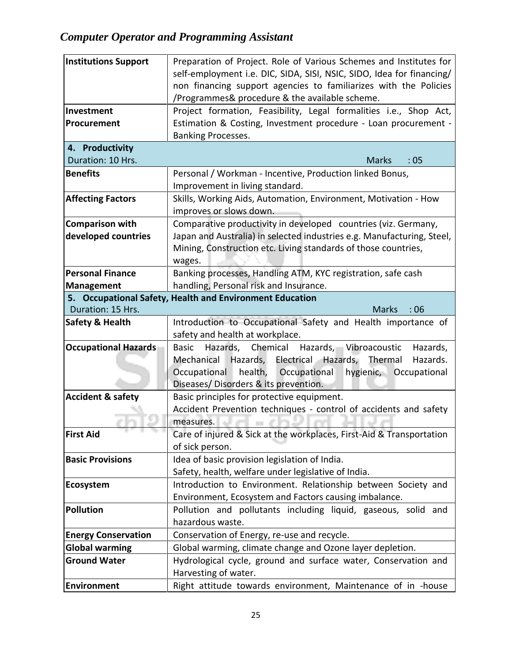| <b>Institutions Support</b>                              | Preparation of Project. Role of Various Schemes and Institutes for                                                    |  |  |
|----------------------------------------------------------|-----------------------------------------------------------------------------------------------------------------------|--|--|
|                                                          | self-employment i.e. DIC, SIDA, SISI, NSIC, SIDO, Idea for financing/                                                 |  |  |
|                                                          | non financing support agencies to familiarizes with the Policies                                                      |  |  |
|                                                          | /Programmes& procedure & the available scheme.                                                                        |  |  |
| Investment                                               | Project formation, Feasibility, Legal formalities i.e., Shop Act,                                                     |  |  |
| Procurement                                              | Estimation & Costing, Investment procedure - Loan procurement -                                                       |  |  |
|                                                          | Banking Processes.                                                                                                    |  |  |
| 4. Productivity                                          |                                                                                                                       |  |  |
| Duration: 10 Hrs.                                        | :05<br><b>Marks</b>                                                                                                   |  |  |
| <b>Benefits</b>                                          | Personal / Workman - Incentive, Production linked Bonus,                                                              |  |  |
|                                                          | Improvement in living standard.                                                                                       |  |  |
| <b>Affecting Factors</b>                                 | Skills, Working Aids, Automation, Environment, Motivation - How                                                       |  |  |
|                                                          | improves or slows down.                                                                                               |  |  |
| <b>Comparison with</b>                                   | Comparative productivity in developed countries (viz. Germany,                                                        |  |  |
| developed countries                                      | Japan and Australia) in selected industries e.g. Manufacturing, Steel,                                                |  |  |
|                                                          | Mining, Construction etc. Living standards of those countries,                                                        |  |  |
|                                                          | wages.                                                                                                                |  |  |
| <b>Personal Finance</b>                                  | Banking processes, Handling ATM, KYC registration, safe cash                                                          |  |  |
| handling, Personal risk and Insurance.<br>Management     |                                                                                                                       |  |  |
| 5. Occupational Safety, Health and Environment Education |                                                                                                                       |  |  |
| Duration: 15 Hrs.                                        | <b>Marks</b><br>:06                                                                                                   |  |  |
| <b>Safety &amp; Health</b>                               | Introduction to Occupational Safety and Health importance of                                                          |  |  |
|                                                          | safety and health at workplace.                                                                                       |  |  |
| <b>Occupational Hazards</b>                              | Hazards,<br>Chemical<br>Hazards, Vibroacoustic<br>Hazards,<br><b>Basic</b><br>Mechanical                              |  |  |
|                                                          | Hazards, Electrical Hazards, Thermal<br>Hazards.<br>health,<br>hygienic, Occupational<br>Occupational<br>Occupational |  |  |
|                                                          | Diseases/Disorders & its prevention.                                                                                  |  |  |
| <b>Accident &amp; safety</b>                             | Basic principles for protective equipment.                                                                            |  |  |
|                                                          | Accident Prevention techniques - control of accidents and safety                                                      |  |  |
|                                                          | measures.<br>a.                                                                                                       |  |  |
| <b>First Aid</b>                                         | Care of injured & Sick at the workplaces, First-Aid & Transportation                                                  |  |  |
|                                                          | of sick person.                                                                                                       |  |  |
| <b>Basic Provisions</b>                                  | Idea of basic provision legislation of India.                                                                         |  |  |
|                                                          | Safety, health, welfare under legislative of India.                                                                   |  |  |
| Ecosystem                                                | Introduction to Environment. Relationship between Society and                                                         |  |  |
|                                                          | Environment, Ecosystem and Factors causing imbalance.                                                                 |  |  |
| <b>Pollution</b>                                         | Pollution and pollutants including liquid, gaseous, solid and                                                         |  |  |
|                                                          | hazardous waste.                                                                                                      |  |  |
| <b>Energy Conservation</b>                               | Conservation of Energy, re-use and recycle.                                                                           |  |  |
| <b>Global warming</b>                                    | Global warming, climate change and Ozone layer depletion.                                                             |  |  |
| <b>Ground Water</b>                                      | Hydrological cycle, ground and surface water, Conservation and                                                        |  |  |
|                                                          | Harvesting of water.                                                                                                  |  |  |
| Environment                                              | Right attitude towards environment, Maintenance of in -house                                                          |  |  |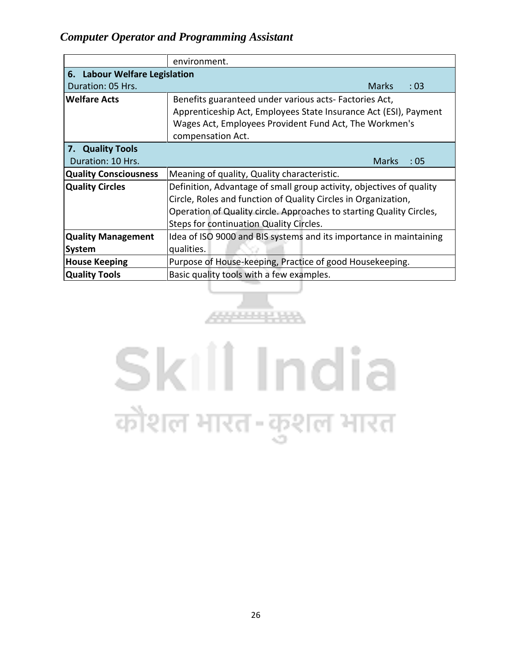|                                                                                                | environment.                                                         |  |  |  |  |
|------------------------------------------------------------------------------------------------|----------------------------------------------------------------------|--|--|--|--|
| 6. Labour Welfare Legislation                                                                  |                                                                      |  |  |  |  |
| Duration: 05 Hrs.<br><b>Marks</b><br>: 03                                                      |                                                                      |  |  |  |  |
| <b>Welfare Acts</b><br>Benefits guaranteed under various acts- Factories Act,                  |                                                                      |  |  |  |  |
|                                                                                                | Apprenticeship Act, Employees State Insurance Act (ESI), Payment     |  |  |  |  |
|                                                                                                | Wages Act, Employees Provident Fund Act, The Workmen's               |  |  |  |  |
|                                                                                                | compensation Act.                                                    |  |  |  |  |
| 7. Quality Tools                                                                               |                                                                      |  |  |  |  |
| Duration: 10 Hrs.                                                                              | <b>Marks</b><br>:05                                                  |  |  |  |  |
| <b>Quality Consciousness</b>                                                                   | Meaning of quality, Quality characteristic.                          |  |  |  |  |
| <b>Quality Circles</b><br>Definition, Advantage of small group activity, objectives of quality |                                                                      |  |  |  |  |
|                                                                                                | Circle, Roles and function of Quality Circles in Organization,       |  |  |  |  |
|                                                                                                | Operation of Quality circle. Approaches to starting Quality Circles, |  |  |  |  |
|                                                                                                | Steps for continuation Quality Circles.                              |  |  |  |  |
| <b>Quality Management</b>                                                                      | Idea of ISO 9000 and BIS systems and its importance in maintaining   |  |  |  |  |
| <b>System</b>                                                                                  | qualities.                                                           |  |  |  |  |
| <b>House Keeping</b>                                                                           | Purpose of House-keeping, Practice of good Housekeeping.             |  |  |  |  |
| <b>Quality Tools</b>                                                                           | Basic quality tools with a few examples.                             |  |  |  |  |

# Skill India कौशल भारत-कुशल भारत

888888888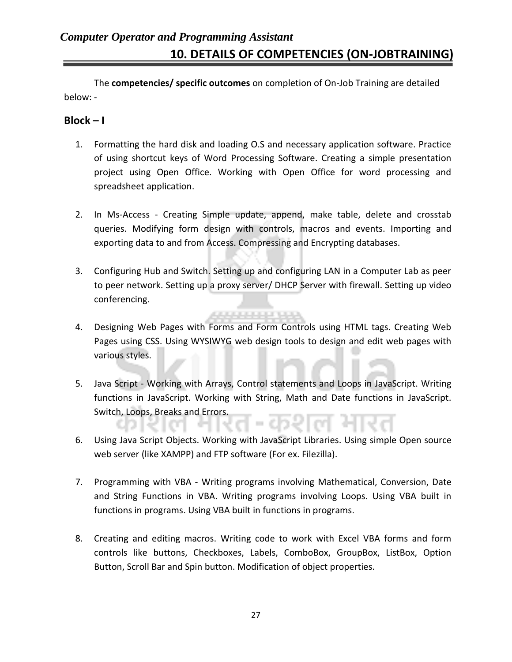The **competencies/ specific outcomes** on completion of On-Job Training are detailed below: -

#### $Block - I$

- 1. Formatting the hard disk and loading O.S and necessary application software. Practice of using shortcut keys of Word Processing Software. Creating a simple presentation project using Open Office. Working with Open Office for word processing and spreadsheet application.
- 2. In Ms-Access Creating Simple update, append, make table, delete and crosstab queries. Modifying form design with controls, macros and events. Importing and exporting data to and from Access. Compressing and Encrypting databases.
- 3. Configuring Hub and Switch. Setting up and configuring LAN in a Computer Lab as peer to peer network. Setting up a proxy server/ DHCP Server with firewall. Setting up video conferencing.
- 4. Designing Web Pages with Forms and Form Controls using HTML tags. Creating Web Pages using CSS. Using WYSIWYG web design tools to design and edit web pages with various styles.

**ALCOHOL: U.S.** 

- 5. Java Script Working with Arrays, Control statements and Loops in JavaScript. Writing functions in JavaScript. Working with String, Math and Date functions in JavaScript. Switch, Loops, Breaks and Errors.
- 6. Using Java Script Objects. Working with JavaScript Libraries. Using simple Open source web server (like XAMPP) and FTP software (For ex. Filezilla).
- 7. Programming with VBA Writing programs involving [Mathematical,](javascript:void(0)) [Conversion, Date](javascript:void(0))  [and](javascript:void(0)) [String Functions](javascript:void(0)) in VBA. Writing programs involving Loops. Using VBA built in functions in programs. Using VBA built in functions in programs.
- 8. Creating and editing macros. Writing code to work with Excel VBA forms and form controls like buttons, Checkboxes, Labels, ComboBox, GroupBox, ListBox, Option Button, Scroll Bar and Spin button. Modification of object properties.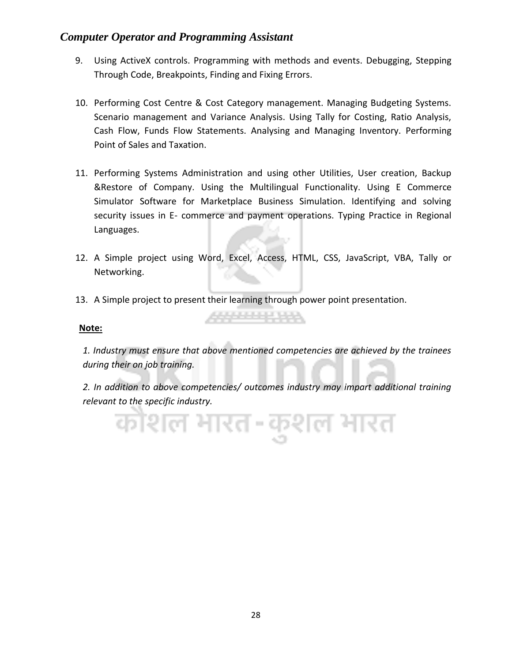- 9. Using ActiveX controls. Programming with methods and events. Debugging, [Stepping](javascript:void(0))  [Through Code, Breakpoints, Finding and Fixing Errors.](javascript:void(0))
- 10. Performing Cost Centre & Cost Category management. Managing Budgeting Systems. Scenario management and Variance Analysis. Using Tally for Costing, Ratio Analysis, Cash Flow, Funds Flow Statements. Analysing and Managing Inventory. Performing Point of Sales and Taxation.
- 11. Performing Systems Administration and using other Utilities, User creation, Backup &Restore of Company. Using the Multilingual Functionality. Using E Commerce Simulator Software for Marketplace Business Simulation. Identifying and solving security issues in E- commerce and payment operations. Typing Practice in Regional Languages.
- 12. A Simple project using Word, Excel, Access, HTML, CSS, JavaScript, VBA, Tally or Networking.
- 13. A Simple project to present their learning through power point presentation.

#### **Note:**

*1. Industry must ensure that above mentioned competencies are achieved by the trainees during their on job training.*

\*\*\*\*\*\*\*\*\*

*2. In addition to above competencies/ outcomes industry may impart additional training relevant to the specific industry.*

काशल भारत-कुशल भारत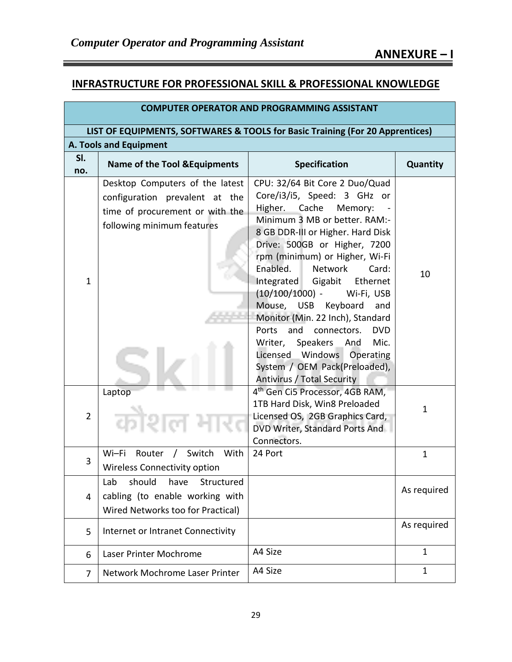#### **INFRASTRUCTURE FOR PROFESSIONAL SKILL & PROFESSIONAL KNOWLEDGE**

| <b>COMPUTER OPERATOR AND PROGRAMMING ASSISTANT</b>                            |                                                                                                                                    |                                                                                                                                                                                                                                                                                                                                                                                                                                                                                                                                                                                                 |              |  |
|-------------------------------------------------------------------------------|------------------------------------------------------------------------------------------------------------------------------------|-------------------------------------------------------------------------------------------------------------------------------------------------------------------------------------------------------------------------------------------------------------------------------------------------------------------------------------------------------------------------------------------------------------------------------------------------------------------------------------------------------------------------------------------------------------------------------------------------|--------------|--|
| LIST OF EQUIPMENTS, SOFTWARES & TOOLS for Basic Training (For 20 Apprentices) |                                                                                                                                    |                                                                                                                                                                                                                                                                                                                                                                                                                                                                                                                                                                                                 |              |  |
|                                                                               | A. Tools and Equipment                                                                                                             |                                                                                                                                                                                                                                                                                                                                                                                                                                                                                                                                                                                                 |              |  |
| SI.<br>no.                                                                    | <b>Name of the Tool &amp; Equipments</b>                                                                                           | <b>Specification</b>                                                                                                                                                                                                                                                                                                                                                                                                                                                                                                                                                                            | Quantity     |  |
| $\mathbf{1}$                                                                  | Desktop Computers of the latest<br>configuration prevalent at the<br>time of procurement or with the<br>following minimum features | CPU: 32/64 Bit Core 2 Duo/Quad<br>Core/i3/i5, Speed: 3 GHz or<br>Higher.<br>Cache<br>Memory:<br>Minimum 3 MB or better. RAM:-<br>8 GB DDR-III or Higher. Hard Disk<br>Drive: 500GB or Higher, 7200<br>rpm (minimum) or Higher, Wi-Fi<br>Enabled.<br><b>Network</b><br>Card:<br>Integrated Gigabit<br>Ethernet<br>$(10/100/1000)$ -<br>Wi-Fi, USB<br>Mouse, USB Keyboard<br>and<br>Monitor (Min. 22 Inch), Standard<br>and<br>connectors.<br><b>DVD</b><br>Ports<br>Writer, Speakers And<br>Mic.<br>Licensed Windows<br>Operating<br>System / OEM Pack(Preloaded),<br>Antivirus / Total Security | 10           |  |
| $\overline{2}$                                                                | Laptop                                                                                                                             | 4 <sup>th</sup> Gen Ci5 Processor, 4GB RAM,<br>1TB Hard Disk, Win8 Preloaded<br>Licensed OS, 2GB Graphics Card,<br>DVD Writer, Standard Ports And<br>Connectors.                                                                                                                                                                                                                                                                                                                                                                                                                                | $\mathbf 1$  |  |
| 3                                                                             | / Switch<br>Wi-Fi<br>With<br>Router<br><b>Wireless Connectivity option</b>                                                         | 24 Port                                                                                                                                                                                                                                                                                                                                                                                                                                                                                                                                                                                         | $\mathbf{1}$ |  |
| 4                                                                             | Lab<br>should<br>have<br>Structured<br>cabling (to enable working with<br>Wired Networks too for Practical)                        |                                                                                                                                                                                                                                                                                                                                                                                                                                                                                                                                                                                                 | As required  |  |
| 5                                                                             | Internet or Intranet Connectivity                                                                                                  |                                                                                                                                                                                                                                                                                                                                                                                                                                                                                                                                                                                                 | As required  |  |
| 6                                                                             | Laser Printer Mochrome                                                                                                             | A4 Size                                                                                                                                                                                                                                                                                                                                                                                                                                                                                                                                                                                         | $\mathbf{1}$ |  |
| 7                                                                             | Network Mochrome Laser Printer                                                                                                     | A4 Size                                                                                                                                                                                                                                                                                                                                                                                                                                                                                                                                                                                         | $\mathbf{1}$ |  |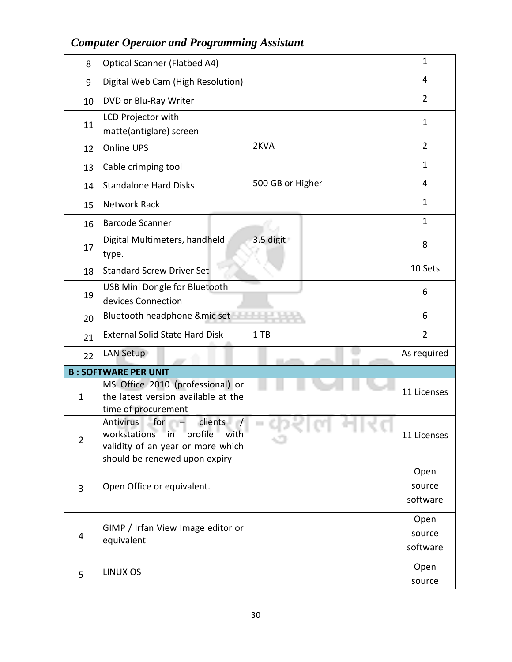| <b>Optical Scanner (Flatbed A4)</b>                                                                                                         |                            | $\mathbf{1}$       |
|---------------------------------------------------------------------------------------------------------------------------------------------|----------------------------|--------------------|
| Digital Web Cam (High Resolution)                                                                                                           |                            | 4                  |
| DVD or Blu-Ray Writer                                                                                                                       |                            | $\overline{2}$     |
| LCD Projector with<br>matte(antiglare) screen                                                                                               |                            | $\mathbf 1$        |
| <b>Online UPS</b>                                                                                                                           | 2KVA                       | $\overline{2}$     |
| Cable crimping tool                                                                                                                         |                            | $\mathbf{1}$       |
| <b>Standalone Hard Disks</b>                                                                                                                | 500 GB or Higher           | 4                  |
| <b>Network Rack</b>                                                                                                                         |                            | $\mathbf{1}$       |
| <b>Barcode Scanner</b>                                                                                                                      |                            | $\mathbf{1}$       |
| Digital Multimeters, handheld<br>type.                                                                                                      | 3.5 digit                  | 8                  |
| <b>Standard Screw Driver Set</b>                                                                                                            |                            | 10 Sets            |
| USB Mini Dongle for Bluetooth<br>devices Connection                                                                                         |                            | 6                  |
| Bluetooth headphone & mic set                                                                                                               |                            | 6                  |
| <b>External Solid State Hard Disk</b>                                                                                                       | 1TB                        | $\overline{2}$     |
| LAN Setup                                                                                                                                   |                            | As required        |
| <b>B: SOFTWARE PER UNIT</b>                                                                                                                 |                            |                    |
| MS Office 2010 (professional) or<br>the latest version available at the<br>time of procurement                                              |                            | 11 Licenses        |
| Antivirus<br>for $-$<br>clients<br>workstations in<br>profile<br>with<br>validity of an year or more which<br>should be renewed upon expiry | 70 T.L                     | 11 Licenses        |
|                                                                                                                                             |                            | Open               |
|                                                                                                                                             |                            | source<br>software |
|                                                                                                                                             |                            |                    |
| GIMP / Irfan View Image editor or                                                                                                           |                            | Open<br>source     |
| equivalent                                                                                                                                  |                            | software           |
|                                                                                                                                             |                            | Open               |
| LINUX OS                                                                                                                                    |                            | source             |
|                                                                                                                                             | Open Office or equivalent. |                    |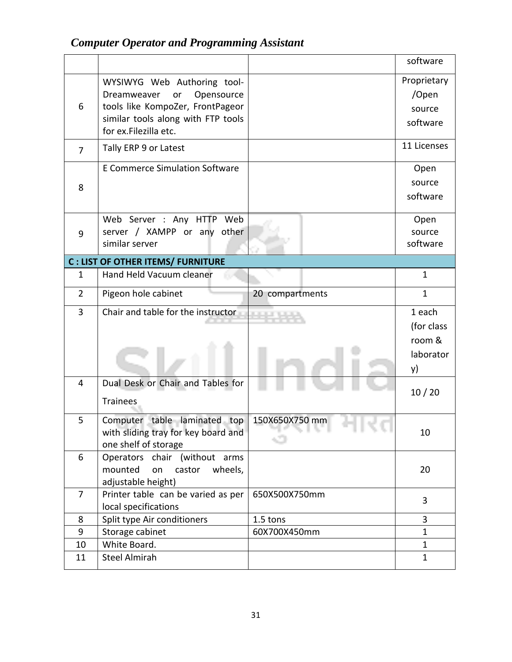|                |                                          |                                   | software     |
|----------------|------------------------------------------|-----------------------------------|--------------|
|                | WYSIWYG Web Authoring tool-              |                                   | Proprietary  |
|                | Opensource<br>Dreamweaver<br>or          |                                   | /Open        |
| 6              | tools like KompoZer, FrontPageor         |                                   | source       |
|                | similar tools along with FTP tools       |                                   | software     |
|                | for ex.Filezilla etc.                    |                                   |              |
| $\overline{7}$ | Tally ERP 9 or Latest                    |                                   | 11 Licenses  |
|                | <b>E Commerce Simulation Software</b>    |                                   | Open         |
| 8              |                                          |                                   | source       |
|                |                                          |                                   | software     |
|                |                                          |                                   |              |
|                | Web Server : Any HTTP Web                |                                   | Open         |
| 9              | server / XAMPP or any other              |                                   | source       |
|                | similar server                           |                                   | software     |
|                | <b>C: LIST OF OTHER ITEMS/ FURNITURE</b> |                                   |              |
| $\mathbf{1}$   | Hand Held Vacuum cleaner                 |                                   | $\mathbf{1}$ |
| $\overline{2}$ | Pigeon hole cabinet                      | 20 compartments                   | $\mathbf{1}$ |
| 3              | Chair and table for the instructor       |                                   | 1 each       |
|                |                                          |                                   | (for class   |
|                |                                          |                                   | room &       |
|                |                                          |                                   | laborator    |
|                |                                          |                                   | y)           |
| $\overline{4}$ | Dual Desk or Chair and Tables for        |                                   |              |
|                |                                          |                                   | 10/20        |
|                | <b>Trainees</b>                          |                                   |              |
| 5              | Computer table laminated top             | 150X650X750 mm                    |              |
|                | with sliding tray for key board and      | 79. I. W. H<br><b><i>BOOK</i></b> | 10           |
|                | one shelf of storage                     |                                   |              |
| 6              | Operators chair (without arms            |                                   |              |
|                | mounted<br>wheels,<br>on<br>castor       |                                   | 20           |
|                | adjustable height)                       |                                   |              |
| $\overline{7}$ | Printer table can be varied as per       | 650X500X750mm                     | 3            |
|                | local specifications                     |                                   |              |
| 8              | Split type Air conditioners              | 1.5 tons                          | 3            |
| 9              | Storage cabinet                          | 60X700X450mm                      | $\mathbf{1}$ |
| 10             | White Board.                             |                                   | $\mathbf{1}$ |
| 11             | <b>Steel Almirah</b>                     |                                   | 1            |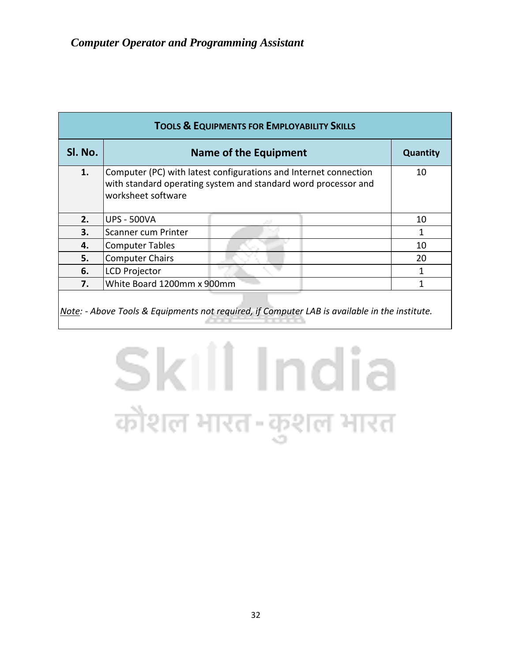| <b>TOOLS &amp; EQUIPMENTS FOR EMPLOYABILITY SKILLS</b> |                                                                                                                                                          |                 |  |  |  |  |  |  |  |  |  |
|--------------------------------------------------------|----------------------------------------------------------------------------------------------------------------------------------------------------------|-----------------|--|--|--|--|--|--|--|--|--|
| Sl. No.                                                | <b>Name of the Equipment</b>                                                                                                                             | <b>Quantity</b> |  |  |  |  |  |  |  |  |  |
| 1.                                                     | Computer (PC) with latest configurations and Internet connection<br>with standard operating system and standard word processor and<br>worksheet software | 10              |  |  |  |  |  |  |  |  |  |
| 2.                                                     | <b>UPS - 500VA</b>                                                                                                                                       | 10              |  |  |  |  |  |  |  |  |  |
| 3.                                                     | Scanner cum Printer                                                                                                                                      |                 |  |  |  |  |  |  |  |  |  |
| 4.                                                     | <b>Computer Tables</b>                                                                                                                                   | 10              |  |  |  |  |  |  |  |  |  |
| 5.                                                     | <b>Computer Chairs</b>                                                                                                                                   | 20              |  |  |  |  |  |  |  |  |  |
| 6.                                                     | <b>LCD Projector</b>                                                                                                                                     |                 |  |  |  |  |  |  |  |  |  |
| 7.                                                     | White Board 1200mm x 900mm                                                                                                                               |                 |  |  |  |  |  |  |  |  |  |
|                                                        | Note: - Above Tools & Equipments not required, if Computer LAB is available in the institute.                                                            |                 |  |  |  |  |  |  |  |  |  |

# Skill India कौशल भारत-कुशल भारत